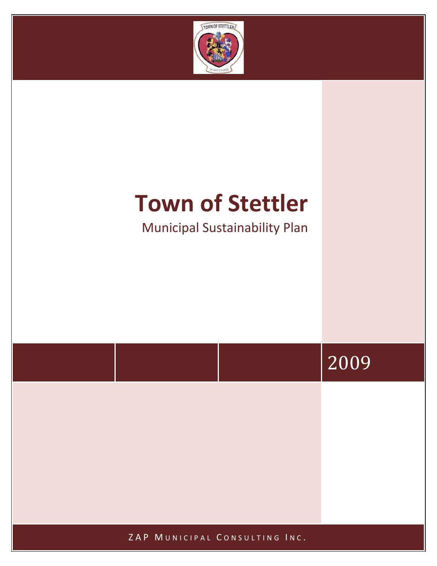

# **Town of Stettler**

Municipal Sustainability Plan

# 2009

ZAP MUNICIPAL CONSULTING INC.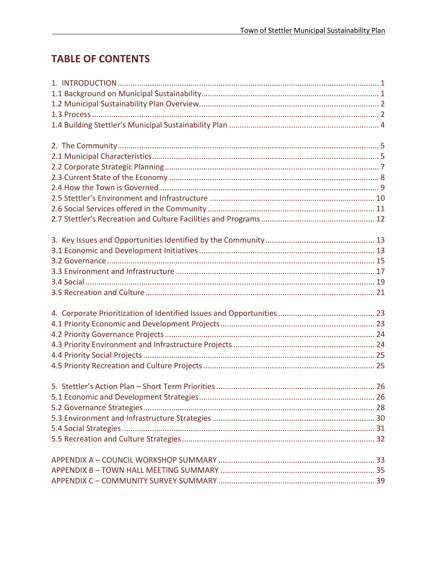# **TABLE OF CONTENTS**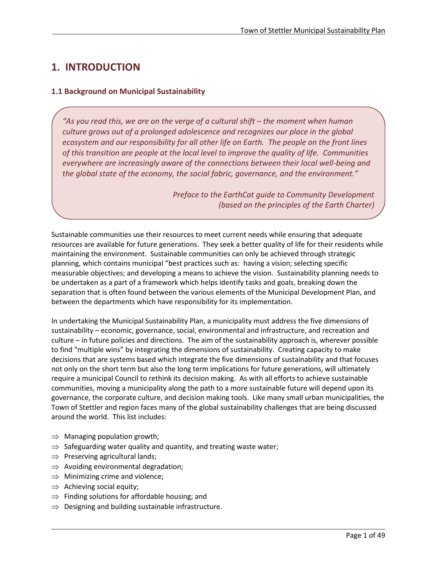# <span id="page-2-0"></span>**1. INTRODUCTION**

## <span id="page-2-1"></span>**1.1 Background on Municipal Sustainability**

*"As you read this, we are on the verge of a cultural shift – the moment when human culture grows out of a prolonged adolescence and recognizes our place in the global ecosystem and our responsibility for all other life on Earth. The people on the front lines of this transition are people at the local level to improve the quality of life. Communities everywhere are increasingly aware of the connections between their local well-being and the global state of the economy, the social fabric, governance, and the environment."*

> *Preface to the EarthCat guide to Community Development (based on the principles of the Earth Charter)*

Sustainable communities use their resources to meet current needs while ensuring that adequate resources are available for future generations. They seek a better quality of life for their residents while maintaining the environment. Sustainable communities can only be achieved through strategic planning, which contains municipal "best practices such as: having a vision; selecting specific measurable objectives; and developing a means to achieve the vision. Sustainability planning needs to be undertaken as a part of a framework which helps identify tasks and goals, breaking down the separation that is often found between the various elements of the Municipal Development Plan, and between the departments which have responsibility for its implementation.

In undertaking the Municipal Sustainability Plan, a municipality must address the five dimensions of sustainability – economic, governance, social, environmental and infrastructure, and recreation and culture – in future policies and directions. The aim of the sustainability approach is, wherever possible to find "multiple wins" by integrating the dimensions of sustainability. Creating capacity to make decisions that are systems based which integrate the five dimensions of sustainability and that focuses not only on the short term but also the long term implications for future generations, will ultimately require a municipal Council to rethink its decision making. As with all efforts to achieve sustainable communities, moving a municipality along the path to a more sustainable future will depend upon its governance, the corporate culture, and decision making tools. Like many small urban municipalities, the Town of Stettler and region faces many of the global sustainability challenges that are being discussed around the world. This list includes:

- $\Rightarrow$  Managing population growth;
- $\Rightarrow$  Safeguarding water quality and quantity, and treating waste water;
- $\Rightarrow$  Preserving agricultural lands;
- $\Rightarrow$  Avoiding environmental degradation;
- $\Rightarrow$  Minimizing crime and violence;
- $\Rightarrow$  Achieving social equity;

- $\Rightarrow$  Finding solutions for affordable housing; and
- $\Rightarrow$  Designing and building sustainable infrastructure.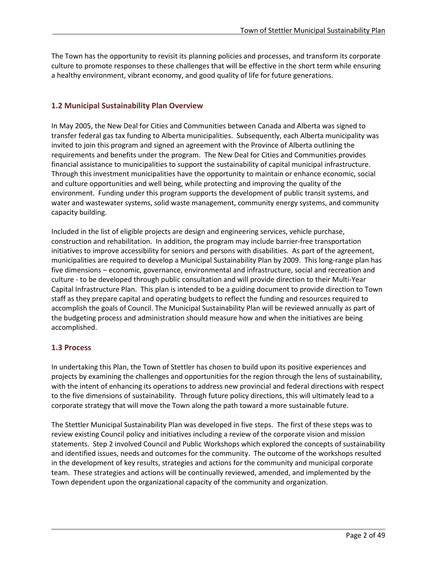The Town has the opportunity to revisit its planning policies and processes, and transform its corporate culture to promote responses to these challenges that will be effective in the short term while ensuring a healthy environment, vibrant economy, and good quality of life for future generations.

## <span id="page-3-0"></span>**1.2 Municipal Sustainability Plan Overview**

In May 2005, the New Deal for Cities and Communities between Canada and Alberta was signed to transfer federal gas tax funding to Alberta municipalities. Subsequently, each Alberta municipality was invited to join this program and signed an agreement with the Province of Alberta outlining the requirements and benefits under the program. The New Deal for Cities and Communities provides financial assistance to municipalities to support the sustainability of capital municipal infrastructure. Through this investment municipalities have the opportunity to maintain or enhance economic, social and culture opportunities and well being, while protecting and improving the quality of the environment. Funding under this program supports the development of public transit systems, and water and wastewater systems, solid waste management, community energy systems, and community capacity building.

Included in the list of eligible projects are design and engineering services, vehicle purchase, construction and rehabilitation. In addition, the program may include barrier-free transportation initiatives to improve accessibility for seniors and persons with disabilities. As part of the agreement, municipalities are required to develop a Municipal Sustainability Plan by 2009. This long-range plan has five dimensions – economic, governance, environmental and infrastructure, social and recreation and culture - to be developed through public consultation and will provide direction to their Multi-Year Capital Infrastructure Plan. This plan is intended to be a guiding document to provide direction to Town staff as they prepare capital and operating budgets to reflect the funding and resources required to accomplish the goals of Council. The Municipal Sustainability Plan will be reviewed annually as part of the budgeting process and administration should measure how and when the initiatives are being accomplished.

## <span id="page-3-1"></span>**1.3 Process**

l

In undertaking this Plan, the Town of Stettler has chosen to build upon its positive experiences and projects by examining the challenges and opportunities for the region through the lens of sustainability, with the intent of enhancing its operations to address new provincial and federal directions with respect to the five dimensions of sustainability. Through future policy directions, this will ultimately lead to a corporate strategy that will move the Town along the path toward a more sustainable future.

The Stettler Municipal Sustainability Plan was developed in five steps. The first of these steps was to review existing Council policy and initiatives including a review of the corporate vision and mission statements. Step 2 involved Council and Public Workshops which explored the concepts of sustainability and identified issues, needs and outcomes for the community. The outcome of the workshops resulted in the development of key results, strategies and actions for the community and municipal corporate team. These strategies and actions will be continually reviewed, amended, and implemented by the Town dependent upon the organizational capacity of the community and organization.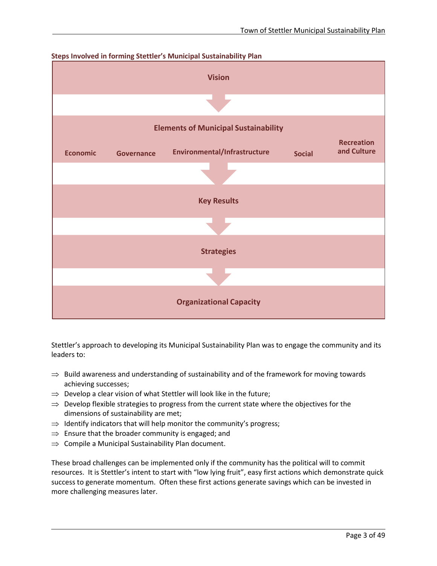

Stettler's approach to developing its Municipal Sustainability Plan was to engage the community and its leaders to:

- $\Rightarrow$  Build awareness and understanding of sustainability and of the framework for moving towards achieving successes;
- $\Rightarrow$  Develop a clear vision of what Stettler will look like in the future;
- $\Rightarrow$  Develop flexible strategies to progress from the current state where the objectives for the dimensions of sustainability are met;
- $\Rightarrow$  Identify indicators that will help monitor the community's progress;
- $\Rightarrow$  Ensure that the broader community is engaged; and
- $\Rightarrow$  Compile a Municipal Sustainability Plan document.

l

These broad challenges can be implemented only if the community has the political will to commit resources. It is Stettler's intent to start with "low lying fruit", easy first actions which demonstrate quick success to generate momentum. Often these first actions generate savings which can be invested in more challenging measures later.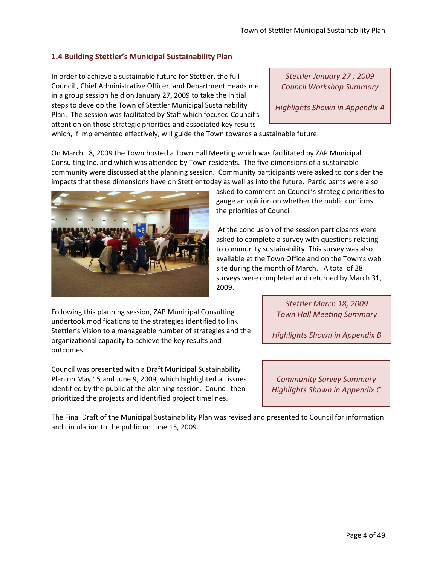## <span id="page-5-0"></span>**1.4 Building Stettler's Municipal Sustainability Plan**

In order to achieve a sustainable future for Stettler, the full Council , Chief Administrative Officer, and Department Heads met in a group session held on January 27, 2009 to take the initial steps to develop the Town of Stettler Municipal Sustainability Plan. The session was facilitated by Staff which focused Council's attention on those strategic priorities and associated key results

*Stettler January 27 , 2009 Council Workshop Summary*

*Highlights Shown in Appendix A*

which, if implemented effectively, will guide the Town towards a sustainable future.

On March 18, 2009 the Town hosted a Town Hall Meeting which was facilitated by ZAP Municipal Consulting Inc. and which was attended by Town residents. The five dimensions of a sustainable community were discussed at the planning session. Community participants were asked to consider the impacts that these dimensions have on Stettler today as well as into the future. Participants were also



asked to comment on Council's strategic priorities to gauge an opinion on whether the public confirms the priorities of Council.

At the conclusion of the session participants were asked to complete a survey with questions relating to community sustainability. This survey was also available at the Town Office and on the Town's web site during the month of March. A total of 28 surveys were completed and returned by March 31, 2009.

Following this planning session, ZAP Municipal Consulting undertook modifications to the strategies identified to link Stettler's Vision to a manageable number of strategies and the organizational capacity to achieve the key results and outcomes.

Council was presented with a Draft Municipal Sustainability Plan on May 15 and June 9, 2009, which highlighted all issues identified by the public at the planning session. Council then prioritized the projects and identified project timelines.

l

*Stettler March 18, 2009 Town Hall Meeting Summary*

*Highlights Shown in Appendix B*

*Community Survey Summary Highlights Shown in Appendix C*

The Final Draft of the Municipal Sustainability Plan was revised and presented to Council for information and circulation to the public on June 15, 2009.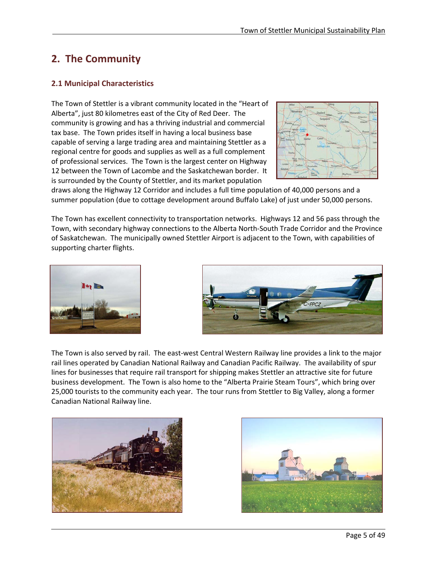# <span id="page-6-0"></span>**2. The Community**

## <span id="page-6-1"></span>**2.1 Municipal Characteristics**

The Town of Stettler is a vibrant community located in the "Heart of Alberta", just 80 kilometres east of the City of Red Deer. The community is growing and has a thriving industrial and commercial tax base. The Town prides itself in having a local business base capable of serving a large trading area and maintaining Stettler as a regional centre for goods and supplies as well as a full complement of professional services. The Town is the largest center on Highway 12 between the Town of Lacombe and the Saskatchewan border. It is surrounded by the County of Stettler, and its market population



draws along the Highway 12 Corridor and includes a full time population of 40,000 persons and a summer population (due to cottage development around Buffalo Lake) of just under 50,000 persons.

The Town has excellent connectivity to transportation networks. Highways 12 and 56 pass through the Town, with secondary highway connections to the Alberta North-South Trade Corridor and the Province of Saskatchewan. The municipally owned Stettler Airport is adjacent to the Town, with capabilities of supporting charter flights.





The Town is also served by rail. The east-west Central Western Railway line provides a link to the major rail lines operated by Canadian National Railway and Canadian Pacific Railway. The availability of spur lines for businesses that require rail transport for shipping makes Stettler an attractive site for future business development. The Town is also home to the "Alberta Prairie Steam Tours", which bring over 25,000 tourists to the community each year. The tour runs from Stettler to Big Valley, along a former Canadian National Railway line.



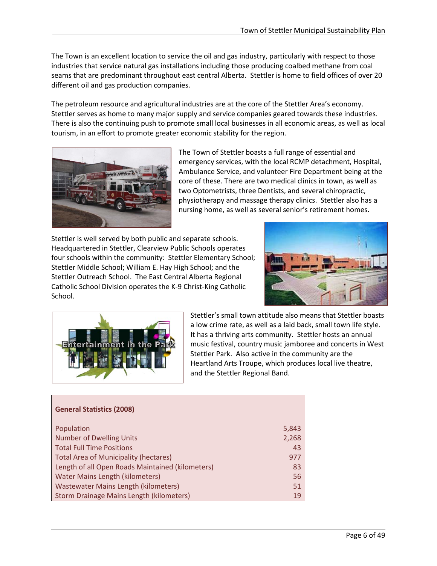The Town is an excellent location to service the oil and gas industry, particularly with respect to those industries that service natural gas installations including those producing coalbed methane from coal seams that are predominant throughout east central Alberta. Stettler is home to field offices of over 20 different oil and gas production companies.

The petroleum resource and agricultural industries are at the core of the Stettler Area's economy. Stettler serves as home to many major supply and service companies geared towards these industries. There is also the continuing push to promote small local businesses in all economic areas, as well as local tourism, in an effort to promote greater economic stability for the region.



The Town of Stettler boasts a full range of essential and emergency services, with the local RCMP detachment, Hospital, Ambulance Service, and volunteer Fire Department being at the core of these. There are two medical clinics in town, as well as two Optometrists, three Dentists, and several chiropractic, physiotherapy and massage therapy clinics. Stettler also has a nursing home, as well as several senior's retirement homes.

Stettler is well served by both public and separate schools. Headquartered in Stettler, Clearview Public Schools operates four schools within the community: Stettler Elementary School; Stettler Middle School; William E. Hay High School; and the Stettler Outreach School. The East Central Alberta Regional Catholic School Division operates the K-9 Christ-King Catholic School.





l

Stettler's small town attitude also means that Stettler boasts a low crime rate, as well as a laid back, small town life style. It has a thriving arts community. Stettler hosts an annual music festival, country music jamboree and concerts in West Stettler Park. Also active in the community are the Heartland Arts Troupe, which produces local live theatre, and the Stettler Regional Band.

| <b>General Statistics (2008)</b>                 |       |
|--------------------------------------------------|-------|
| Population                                       | 5,843 |
| <b>Number of Dwelling Units</b>                  | 2,268 |
| <b>Total Full Time Positions</b>                 | 43    |
| <b>Total Area of Municipality (hectares)</b>     | 977   |
| Length of all Open Roads Maintained (kilometers) | 83    |
| <b>Water Mains Length (kilometers)</b>           | 56    |
| <b>Wastewater Mains Length (kilometers)</b>      | 51    |
| Storm Drainage Mains Length (kilometers)         | 19    |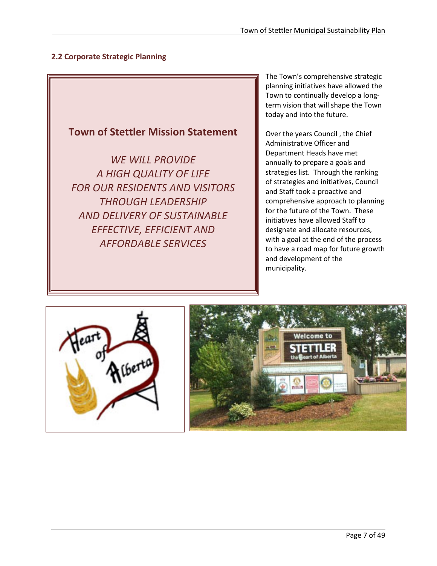## <span id="page-8-0"></span>**2.2 Corporate Strategic Planning**



The Town's comprehensive strategic planning initiatives have allowed the Town to continually develop a longterm vision that will shape the Town today and into the future.

Over the years Council , the Chief Administrative Officer and Department Heads have met annually to prepare a goals and strategies list. Through the ranking of strategies and initiatives, Council and Staff took a proactive and comprehensive approach to planning for the future of the Town. These initiatives have allowed Staff to designate and allocate resources, with a goal at the end of the process to have a road map for future growth and development of the municipality.



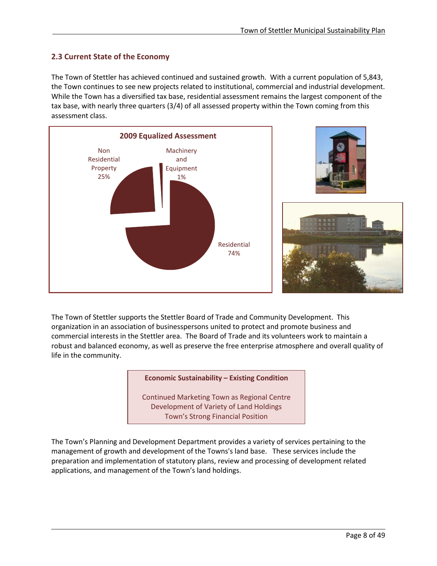## <span id="page-9-0"></span>**2.3 Current State of the Economy**

l

The Town of Stettler has achieved continued and sustained growth. With a current population of 5,843, the Town continues to see new projects related to institutional, commercial and industrial development. While the Town has a diversified tax base, residential assessment remains the largest component of the tax base, with nearly three quarters (3/4) of all assessed property within the Town coming from this assessment class.



The Town of Stettler supports the Stettler Board of Trade and Community Development. This organization in an association of businesspersons united to protect and promote business and commercial interests in the Stettler area. The Board of Trade and its volunteers work to maintain a robust and balanced economy, as well as preserve the free enterprise atmosphere and overall quality of life in the community.

## **Economic Sustainability – Existing Condition**

Continued Marketing Town as Regional Centre Development of Variety of Land Holdings Town's Strong Financial Position

The Town's Planning and Development Department provides a variety of services pertaining to the management of growth and development of the Towns's land base. These services include the preparation and implementation of statutory plans, review and processing of development related applications, and management of the Town's land holdings.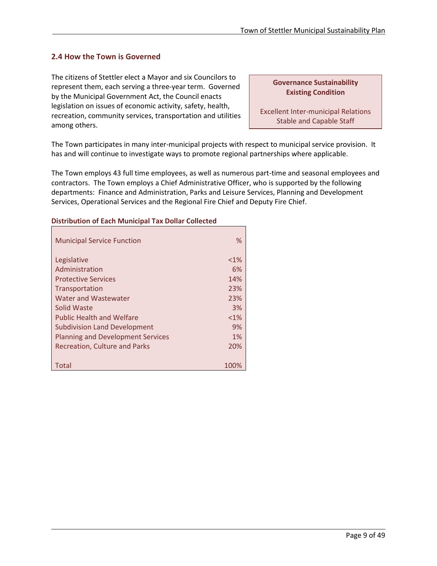## <span id="page-10-0"></span>**2.4 How the Town is Governed**

The citizens of Stettler elect a Mayor and six Councilors to represent them, each serving a three-year term. Governed by the Municipal Government Act, the Council enacts legislation on issues of economic activity, safety, health, recreation, community services, transportation and utilities among others.

**Governance Sustainability Existing Condition**

Excellent Inter-municipal Relations Stable and Capable Staff

The Town participates in many inter-municipal projects with respect to municipal service provision. It has and will continue to investigate ways to promote regional partnerships where applicable.

The Town employs 43 full time employees, as well as numerous part-time and seasonal employees and contractors. The Town employs a Chief Administrative Officer, who is supported by the following departments: Finance and Administration, Parks and Leisure Services, Planning and Development Services, Operational Services and the Regional Fire Chief and Deputy Fire Chief.

| <b>Municipal Service Function</b>        | ℅       |
|------------------------------------------|---------|
| Legislative                              | $<$ 1%  |
| Administration                           | 6%      |
| <b>Protective Services</b>               | 14%     |
| Transportation                           | 23%     |
| Water and Wastewater                     | 23%     |
| Solid Waste                              | 3%      |
| <b>Public Health and Welfare</b>         | $< 1\%$ |
| <b>Subdivision Land Development</b>      | 9%      |
| <b>Planning and Development Services</b> | 1%      |
| <b>Recreation, Culture and Parks</b>     | 20%     |
|                                          |         |
| Total                                    | 100%    |

l

## **Distribution of Each Municipal Tax Dollar Collected**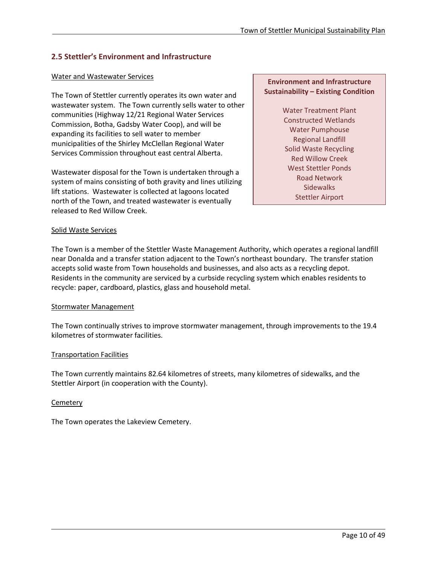## <span id="page-11-0"></span>**2.5 Stettler's Environment and Infrastructure**

## Water and Wastewater Services

The Town of Stettler currently operates its own water and wastewater system. The Town currently sells water to other communities (Highway 12/21 Regional Water Services Commission, Botha, Gadsby Water Coop), and will be expanding its facilities to sell water to member municipalities of the Shirley McClellan Regional Water Services Commission throughout east central Alberta.

Wastewater disposal for the Town is undertaken through a system of mains consisting of both gravity and lines utilizing lift stations. Wastewater is collected at lagoons located north of the Town, and treated wastewater is eventually released to Red Willow Creek.

## **Environment and Infrastructure Sustainability – Existing Condition**

Water Treatment Plant Constructed Wetlands Water Pumphouse Regional Landfill Solid Waste Recycling Red Willow Creek West Stettler Ponds Road Network **Sidewalks** Stettler Airport

## Solid Waste Services

The Town is a member of the Stettler Waste Management Authority, which operates a regional landfill near Donalda and a transfer station adjacent to the Town's northeast boundary. The transfer station accepts solid waste from Town households and businesses, and also acts as a recycling depot. Residents in the community are serviced by a curbside recycling system which enables residents to recycle: paper, cardboard, plastics, glass and household metal.

#### Stormwater Management

The Town continually strives to improve stormwater management, through improvements to the 19.4 kilometres of stormwater facilities.

#### Transportation Facilities

The Town currently maintains 82.64 kilometres of streets, many kilometres of sidewalks, and the Stettler Airport (in cooperation with the County).

#### **Cemetery**

l

The Town operates the Lakeview Cemetery.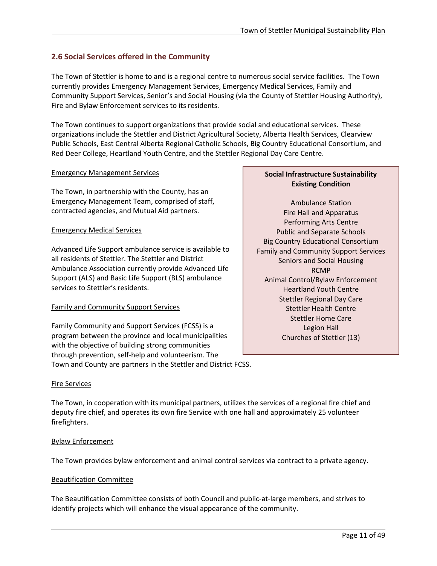## <span id="page-12-0"></span>**2.6 Social Services offered in the Community**

The Town of Stettler is home to and is a regional centre to numerous social service facilities. The Town currently provides Emergency Management Services, Emergency Medical Services, Family and Community Support Services, Senior's and Social Housing (via the County of Stettler Housing Authority), Fire and Bylaw Enforcement services to its residents.

The Town continues to support organizations that provide social and educational services. These organizations include the Stettler and District Agricultural Society, Alberta Health Services, Clearview Public Schools, East Central Alberta Regional Catholic Schools, Big Country Educational Consortium, and Red Deer College, Heartland Youth Centre, and the Stettler Regional Day Care Centre.

## Emergency Management Services

The Town, in partnership with the County, has an Emergency Management Team, comprised of staff, contracted agencies, and Mutual Aid partners.

## Emergency Medical Services

Advanced Life Support ambulance service is available to all residents of Stettler. The Stettler and District Ambulance Association currently provide Advanced Life Support (ALS) and Basic Life Support (BLS) ambulance services to Stettler's residents.

## Family and Community Support Services

Family Community and Support Services (FCSS) is a program between the province and local municipalities with the objective of building strong communities through prevention, self-help and volunteerism. The Town and County are partners in the Stettler and District FCSS.

## **Social Infrastructure Sustainability Existing Condition**

Ambulance Station Fire Hall and Apparatus Performing Arts Centre Public and Separate Schools Big Country Educational Consortium Family and Community Support Services Seniors and Social Housing RCMP Animal Control/Bylaw Enforcement Heartland Youth Centre Stettler Regional Day Care Stettler Health Centre Stettler Home Care Legion Hall Churches of Stettler (13)

## Fire Services

The Town, in cooperation with its municipal partners, utilizes the services of a regional fire chief and deputy fire chief, and operates its own fire Service with one hall and approximately 25 volunteer firefighters.

## Bylaw Enforcement

l

The Town provides bylaw enforcement and animal control services via contract to a private agency.

## Beautification Committee

The Beautification Committee consists of both Council and public-at-large members, and strives to identify projects which will enhance the visual appearance of the community.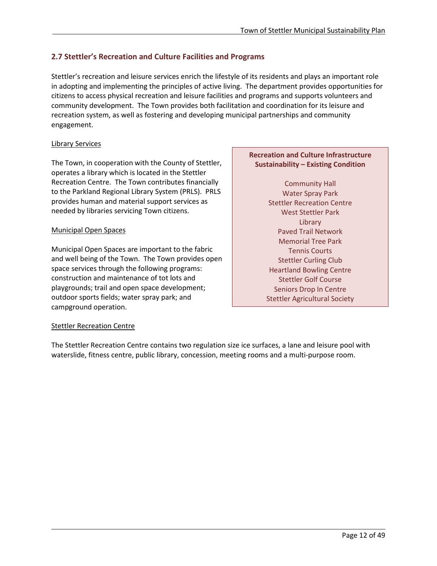## <span id="page-13-0"></span>**2.7 Stettler's Recreation and Culture Facilities and Programs**

Stettler's recreation and leisure services enrich the lifestyle of its residents and plays an important role in adopting and implementing the principles of active living. The department provides opportunities for citizens to access physical recreation and leisure facilities and programs and supports volunteers and community development. The Town provides both facilitation and coordination for its leisure and recreation system, as well as fostering and developing municipal partnerships and community engagement.

## Library Services

The Town, in cooperation with the County of Stettler, operates a library which is located in the Stettler Recreation Centre. The Town contributes financially to the Parkland Regional Library System (PRLS). PRLS provides human and material support services as needed by libraries servicing Town citizens.

## Municipal Open Spaces

Municipal Open Spaces are important to the fabric and well being of the Town. The Town provides open space services through the following programs: construction and maintenance of tot lots and playgrounds; trail and open space development; outdoor sports fields; water spray park; and campground operation.

## Stettler Recreation Centre

l

The Stettler Recreation Centre contains two regulation size ice surfaces, a lane and leisure pool with waterslide, fitness centre, public library, concession, meeting rooms and a multi-purpose room.

## **Recreation and Culture Infrastructure Sustainability – Existing Condition**

Community Hall Water Spray Park Stettler Recreation Centre West Stettler Park Library Paved Trail Network Memorial Tree Park Tennis Courts Stettler Curling Club Heartland Bowling Centre Stettler Golf Course Seniors Drop In Centre Stettler Agricultural Society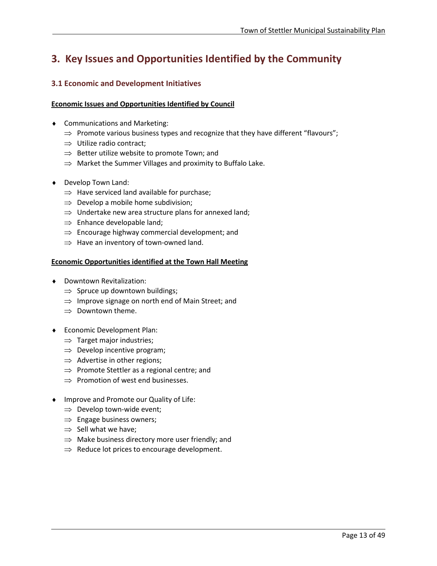# <span id="page-14-0"></span>**3. Key Issues and Opportunities Identified by the Community**

## <span id="page-14-1"></span>**3.1 Economic and Development Initiatives**

#### **Economic Issues and Opportunities Identified by Council**

- ♦ Communications and Marketing:
	- $\Rightarrow$  Promote various business types and recognize that they have different "flavours";
	- ⇒ Utilize radio contract;
	- ⇒ Better utilize website to promote Town; and
	- $\Rightarrow$  Market the Summer Villages and proximity to Buffalo Lake.
- ♦ Develop Town Land:
	- $\Rightarrow$  Have serviced land available for purchase;
	- $\Rightarrow$  Develop a mobile home subdivision;
	- $\Rightarrow$  Undertake new area structure plans for annexed land;
	- $\Rightarrow$  Enhance developable land;
	- $\Rightarrow$  Encourage highway commercial development; and
	- $\Rightarrow$  Have an inventory of town-owned land.

#### **Economic Opportunities identified at the Town Hall Meeting**

- ♦ Downtown Revitalization:
	- $\Rightarrow$  Spruce up downtown buildings;
	- ⇒ Improve signage on north end of Main Street; and
	- $\Rightarrow$  Downtown theme.
- ♦ Economic Development Plan:
	- $\Rightarrow$  Target major industries;
	- $\Rightarrow$  Develop incentive program;
	- $\Rightarrow$  Advertise in other regions;
	- $\Rightarrow$  Promote Stettler as a regional centre; and
	- $\Rightarrow$  Promotion of west end businesses.
- ♦ Improve and Promote our Quality of Life:
	- $\Rightarrow$  Develop town-wide event;
	- $\Rightarrow$  Engage business owners;
	- $\Rightarrow$  Sell what we have;

- $\Rightarrow$  Make business directory more user friendly; and
- $\Rightarrow$  Reduce lot prices to encourage development.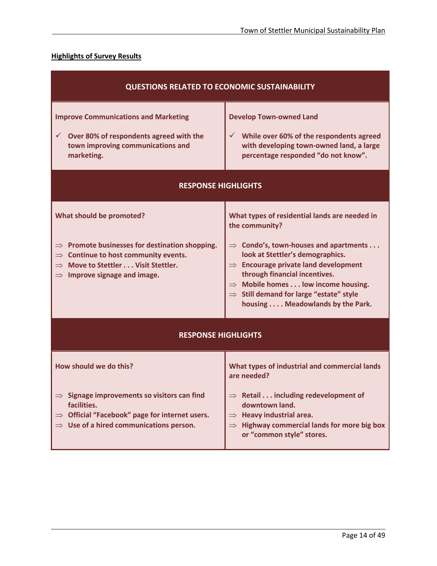## **Highlights of Survey Results**

| <b>QUESTIONS RELATED TO ECONOMIC SUSTAINABILITY</b>                                                                                                                                                                                                                                                                     |  |  |  |  |
|-------------------------------------------------------------------------------------------------------------------------------------------------------------------------------------------------------------------------------------------------------------------------------------------------------------------------|--|--|--|--|
| <b>Develop Town-owned Land</b><br>While over 60% of the respondents agreed<br>✓<br>with developing town-owned land, a large<br>percentage responded "do not know".                                                                                                                                                      |  |  |  |  |
| <b>RESPONSE HIGHLIGHTS</b>                                                                                                                                                                                                                                                                                              |  |  |  |  |
| What types of residential lands are needed in<br>the community?                                                                                                                                                                                                                                                         |  |  |  |  |
| $\Rightarrow$ Condo's, town-houses and apartments<br>look at Stettler's demographics.<br>$\Rightarrow$ Encourage private land development<br>through financial incentives.<br>$\Rightarrow$ Mobile homes low income housing.<br>$\Rightarrow$ Still demand for large "estate" style<br>housing Meadowlands by the Park. |  |  |  |  |
| <b>RESPONSE HIGHLIGHTS</b>                                                                                                                                                                                                                                                                                              |  |  |  |  |
| What types of industrial and commercial lands<br>are needed?                                                                                                                                                                                                                                                            |  |  |  |  |
| $\Rightarrow$ Retail including redevelopment of<br>downtown land.<br>$\Rightarrow$ Heavy industrial area.<br>$\Rightarrow$ Highway commercial lands for more big box<br>or "common style" stores.                                                                                                                       |  |  |  |  |
|                                                                                                                                                                                                                                                                                                                         |  |  |  |  |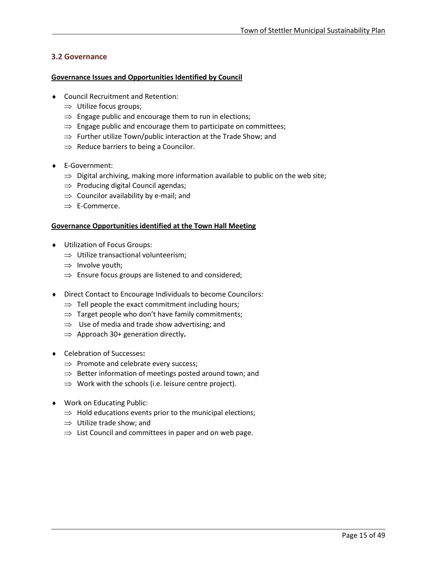## <span id="page-16-0"></span>**3.2 Governance**

#### **Governance Issues and Opportunities Identified by Council**

- ♦ Council Recruitment and Retention:
	- $\Rightarrow$  Utilize focus groups;
	- $\Rightarrow$  Engage public and encourage them to run in elections;
	- $\Rightarrow$  Engage public and encourage them to participate on committees;
	- $\Rightarrow$  Further utilize Town/public interaction at the Trade Show; and
	- $\Rightarrow$  Reduce barriers to being a Councilor.
- ♦ E-Government:
	- $\Rightarrow$  Digital archiving, making more information available to public on the web site;
	- ⇒ Producing digital Council agendas;
	- $\Rightarrow$  Councilor availability by e-mail; and
	- ⇒ E-Commerce.

## **Governance Opportunities identified at the Town Hall Meeting**

- ♦ Utilization of Focus Groups:
	- $\Rightarrow$  Utilize transactional volunteerism;
	- $\Rightarrow$  Involve youth;
	- $\Rightarrow$  Ensure focus groups are listened to and considered;
- ♦ Direct Contact to Encourage Individuals to become Councilors:
	- $\Rightarrow$  Tell people the exact commitment including hours;
	- $\Rightarrow$  Target people who don't have family commitments;
	- $\Rightarrow$  Use of media and trade show advertising; and
	- ⇒ Approach 30+ generation directly**.**
- ♦ Celebration of Successes**:**
	- $\Rightarrow$  Promote and celebrate every success;
	- $\Rightarrow$  Better information of meetings posted around town; and
	- $\Rightarrow$  Work with the schools (i.e. leisure centre project).
- ♦ Work on Educating Public:

- $\Rightarrow$  Hold educations events prior to the municipal elections;
- $\Rightarrow$  Utilize trade show; and
- $\Rightarrow$  List Council and committees in paper and on web page.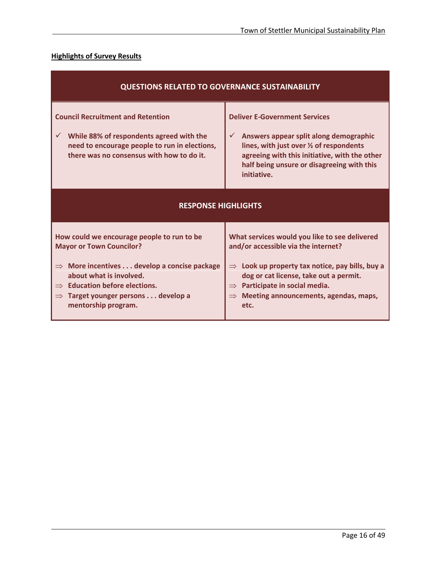## **Highlights of Survey Results**

| <b>QUESTIONS RELATED TO GOVERNANCE SUSTAINABILITY</b>                                                                                                                                                                                                                                      |                                                                                                                                                                                                                                                                                                               |  |  |  |
|--------------------------------------------------------------------------------------------------------------------------------------------------------------------------------------------------------------------------------------------------------------------------------------------|---------------------------------------------------------------------------------------------------------------------------------------------------------------------------------------------------------------------------------------------------------------------------------------------------------------|--|--|--|
| <b>Council Recruitment and Retention</b><br>While 88% of respondents agreed with the<br>$\checkmark$<br>need to encourage people to run in elections,<br>there was no consensus with how to do it.                                                                                         | <b>Deliver E-Government Services</b><br>$\checkmark$<br>Answers appear split along demographic<br>lines, with just over 1/2 of respondents<br>agreeing with this initiative, with the other<br>half being unsure or disagreeing with this<br>initiative.                                                      |  |  |  |
| <b>RESPONSE HIGHLIGHTS</b>                                                                                                                                                                                                                                                                 |                                                                                                                                                                                                                                                                                                               |  |  |  |
| How could we encourage people to run to be<br><b>Mayor or Town Councilor?</b><br>$\Rightarrow$ More incentives  develop a concise package<br>about what is involved.<br>$\Rightarrow$ Education before elections.<br>$\Rightarrow$ Target younger persons develop a<br>mentorship program. | What services would you like to see delivered<br>and/or accessible via the internet?<br>$\Rightarrow$ Look up property tax notice, pay bills, buy a<br>dog or cat license, take out a permit.<br>$\Rightarrow$ Participate in social media.<br>Meeting announcements, agendas, maps,<br>$\Rightarrow$<br>etc. |  |  |  |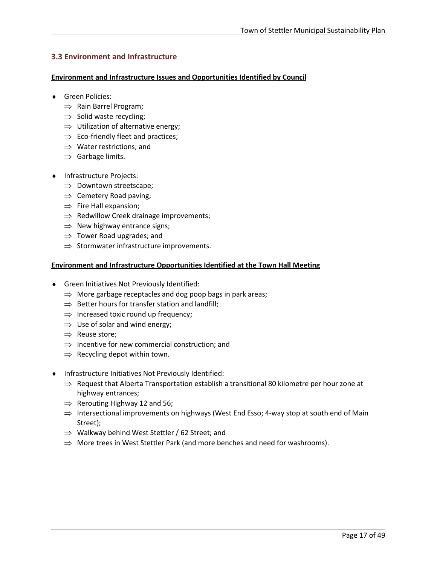## <span id="page-18-0"></span>**3.3 Environment and Infrastructure**

#### **Environment and Infrastructure Issues and Opportunities Identified by Council**

- ♦ Green Policies:
	- ⇒ Rain Barrel Program;
	- $\Rightarrow$  Solid waste recycling;
	- $\Rightarrow$  Utilization of alternative energy;
	- $\Rightarrow$  Eco-friendly fleet and practices;
	- ⇒ Water restrictions; and
	- $\Rightarrow$  Garbage limits.
- ♦ Infrastructure Projects:
	- ⇒ Downtown streetscape;
	- $\Rightarrow$  Cemetery Road paving;
	- $\Rightarrow$  Fire Hall expansion;
	- $\Rightarrow$  Redwillow Creek drainage improvements;
	- $\Rightarrow$  New highway entrance signs;
	- $\Rightarrow$  Tower Road upgrades; and
	- $\Rightarrow$  Stormwater infrastructure improvements.

## **Environment and Infrastructure Opportunities Identified at the Town Hall Meeting**

- ♦ Green Initiatives Not Previously Identified:
	- $\Rightarrow$  More garbage receptacles and dog poop bags in park areas;
	- $\Rightarrow$  Better hours for transfer station and landfill;
	- $\Rightarrow$  Increased toxic round up frequency;
	- $\Rightarrow$  Use of solar and wind energy;
	- ⇒ Reuse store;

- ⇒ Incentive for new commercial construction; and
- $\Rightarrow$  Recycling depot within town.
- ♦ Infrastructure Initiatives Not Previously Identified:
	- $\Rightarrow$  Request that Alberta Transportation establish a transitional 80 kilometre per hour zone at highway entrances;
	- $\Rightarrow$  Rerouting Highway 12 and 56;
	- $\Rightarrow$  Intersectional improvements on highways (West End Esso; 4-way stop at south end of Main Street);
	- ⇒ Walkway behind West Stettler / 62 Street; and
	- $\Rightarrow$  More trees in West Stettler Park (and more benches and need for washrooms).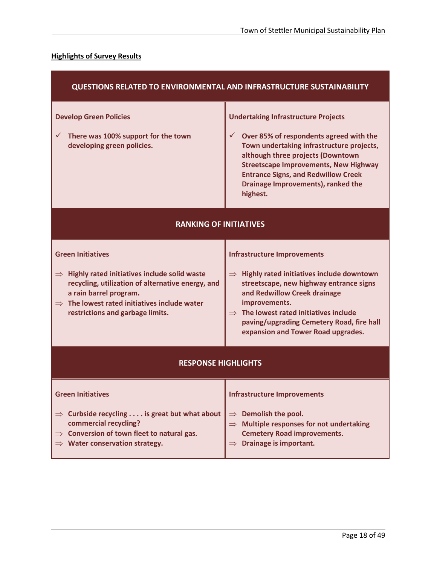## **Highlights of Survey Results**

| QUESTIONS RELATED TO ENVIRONMENTAL AND INFRASTRUCTURE SUSTAINABILITY                                                                                                                                                                                                  |                                                                                                                                                                                                                                                                                                                                         |  |  |
|-----------------------------------------------------------------------------------------------------------------------------------------------------------------------------------------------------------------------------------------------------------------------|-----------------------------------------------------------------------------------------------------------------------------------------------------------------------------------------------------------------------------------------------------------------------------------------------------------------------------------------|--|--|
| <b>Develop Green Policies</b><br>There was 100% support for the town<br>✓<br>developing green policies.                                                                                                                                                               | <b>Undertaking Infrastructure Projects</b><br>$\checkmark$<br>Over 85% of respondents agreed with the<br>Town undertaking infrastructure projects,<br>although three projects (Downtown<br><b>Streetscape Improvements, New Highway</b><br><b>Entrance Signs, and Redwillow Creek</b><br>Drainage Improvements), ranked the<br>highest. |  |  |
| <b>RANKING OF INITIATIVES</b>                                                                                                                                                                                                                                         |                                                                                                                                                                                                                                                                                                                                         |  |  |
| <b>Green Initiatives</b><br>$\Rightarrow$ Highly rated initiatives include solid waste<br>recycling, utilization of alternative energy, and<br>a rain barrel program.<br>$\Rightarrow$ The lowest rated initiatives include water<br>restrictions and garbage limits. | <b>Infrastructure Improvements</b><br>$\Rightarrow$ Highly rated initiatives include downtown<br>streetscape, new highway entrance signs<br>and Redwillow Creek drainage<br>improvements.<br>$\Rightarrow$ The lowest rated initiatives include<br>paving/upgrading Cemetery Road, fire hall<br>expansion and Tower Road upgrades.      |  |  |
| <b>RESPONSE HIGHLIGHTS</b>                                                                                                                                                                                                                                            |                                                                                                                                                                                                                                                                                                                                         |  |  |
| <b>Green Initiatives</b><br>$\Rightarrow$ Curbside recycling  is great but what about<br>commercial recycling?<br>Conversion of town fleet to natural gas.<br>$\Rightarrow$<br>$\Rightarrow$ Water conservation strategy.                                             | <b>Infrastructure Improvements</b><br>$\Rightarrow$ Demolish the pool.<br>$\Rightarrow$ Multiple responses for not undertaking<br><b>Cemetery Road improvements.</b><br>$\Rightarrow$ Drainage is important.                                                                                                                            |  |  |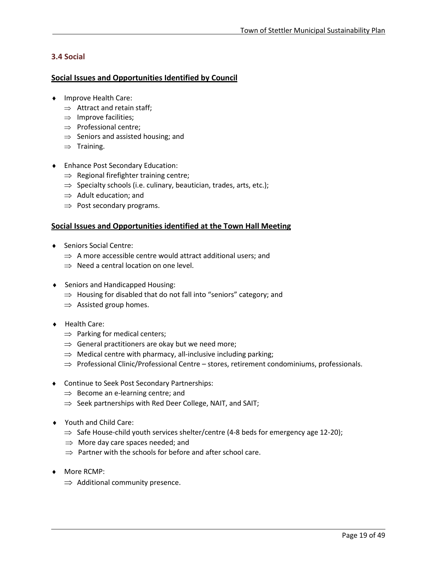## <span id="page-20-0"></span>**3.4 Social**

## **Social Issues and Opportunities Identified by Council**

- ♦ Improve Health Care:
	- $\Rightarrow$  Attract and retain staff;
	- $\Rightarrow$  Improve facilities;
	- ⇒ Professional centre;
	- $\Rightarrow$  Seniors and assisted housing; and
	- $\Rightarrow$  Training.
- ♦ Enhance Post Secondary Education:
	- $\Rightarrow$  Regional firefighter training centre;
	- $\Rightarrow$  Specialty schools (i.e. culinary, beautician, trades, arts, etc.);
	- $\Rightarrow$  Adult education; and
	- $\Rightarrow$  Post secondary programs.

## **Social Issues and Opportunities identified at the Town Hall Meeting**

- ♦ Seniors Social Centre:
	- $\Rightarrow$  A more accessible centre would attract additional users; and
	- $\Rightarrow$  Need a central location on one level.
- ♦ Seniors and Handicapped Housing:
	- $\Rightarrow$  Housing for disabled that do not fall into "seniors" category; and
	- $\Rightarrow$  Assisted group homes.
- ♦ Health Care:
	- $\Rightarrow$  Parking for medical centers;
	- $\Rightarrow$  General practitioners are okay but we need more;
	- $\Rightarrow$  Medical centre with pharmacy, all-inclusive including parking;
	- $\Rightarrow$  Professional Clinic/Professional Centre stores, retirement condominiums, professionals.
- ♦ Continue to Seek Post Secondary Partnerships:
	- $\Rightarrow$  Become an e-learning centre; and
	- ⇒ Seek partnerships with Red Deer College, NAIT, and SAIT;
- ♦ Youth and Child Care:
	- $\Rightarrow$  Safe House-child youth services shelter/centre (4-8 beds for emergency age 12-20);
	- $\Rightarrow$  More day care spaces needed; and
	- $\Rightarrow$  Partner with the schools for before and after school care.
- ♦ More RCMP:

l

 $\Rightarrow$  Additional community presence.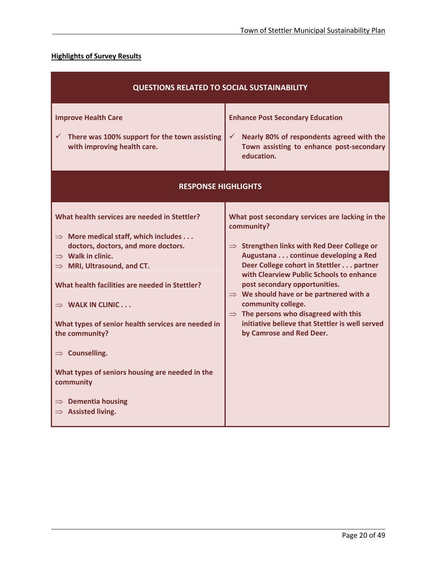## **Highlights of Survey Results**

| <b>QUESTIONS RELATED TO SOCIAL SUSTAINABILITY</b>                                                                                                                                                                                                                                                                                                                                                                                                                                                                                                      |                                                                                                                                                                                                                                                                                                                                                                                                                                                                                                          |  |  |
|--------------------------------------------------------------------------------------------------------------------------------------------------------------------------------------------------------------------------------------------------------------------------------------------------------------------------------------------------------------------------------------------------------------------------------------------------------------------------------------------------------------------------------------------------------|----------------------------------------------------------------------------------------------------------------------------------------------------------------------------------------------------------------------------------------------------------------------------------------------------------------------------------------------------------------------------------------------------------------------------------------------------------------------------------------------------------|--|--|
| <b>Improve Health Care</b><br>There was 100% support for the town assisting<br>$\checkmark$<br>with improving health care.                                                                                                                                                                                                                                                                                                                                                                                                                             | <b>Enhance Post Secondary Education</b><br>Nearly 80% of respondents agreed with the<br>✓<br>Town assisting to enhance post-secondary<br>education.                                                                                                                                                                                                                                                                                                                                                      |  |  |
| <b>RESPONSE HIGHLIGHTS</b>                                                                                                                                                                                                                                                                                                                                                                                                                                                                                                                             |                                                                                                                                                                                                                                                                                                                                                                                                                                                                                                          |  |  |
| What health services are needed in Stettler?<br>$\Rightarrow$ More medical staff, which includes<br>doctors, doctors, and more doctors.<br>$\Rightarrow$ Walk in clinic.<br>$\Rightarrow$ MRI, Ultrasound, and CT.<br>What health facilities are needed in Stettler?<br>$\Rightarrow$ WALK IN CLINIC $\dots$<br>What types of senior health services are needed in<br>the community?<br>$\Rightarrow$ Counselling.<br>What types of seniors housing are needed in the<br>community<br>$\Rightarrow$ Dementia housing<br>$\Rightarrow$ Assisted living. | What post secondary services are lacking in the<br>community?<br>$\Rightarrow$ Strengthen links with Red Deer College or<br>Augustana continue developing a Red<br>Deer College cohort in Stettler partner<br>with Clearview Public Schools to enhance<br>post secondary opportunities.<br>$\Rightarrow$ We should have or be partnered with a<br>community college.<br>$\Rightarrow$ The persons who disagreed with this<br>initiative believe that Stettler is well served<br>by Camrose and Red Deer. |  |  |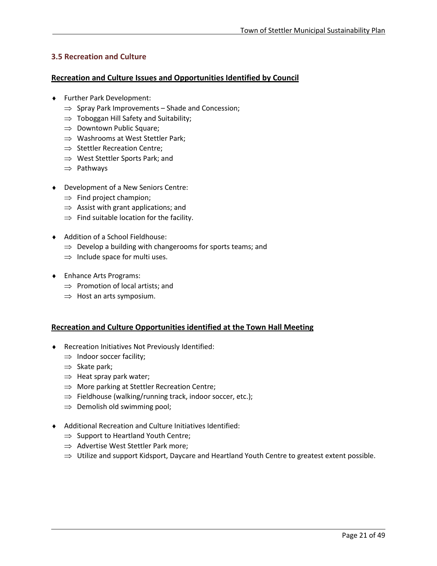## <span id="page-22-0"></span>**3.5 Recreation and Culture**

## **Recreation and Culture Issues and Opportunities Identified by Council**

- ♦ Further Park Development:
	- $\Rightarrow$  Spray Park Improvements Shade and Concession;
	- $\Rightarrow$  Toboggan Hill Safety and Suitability;
	- ⇒ Downtown Public Square;
	- ⇒ Washrooms at West Stettler Park;
	- ⇒ Stettler Recreation Centre;
	- ⇒ West Stettler Sports Park; and
	- ⇒ Pathways
- ♦ Development of a New Seniors Centre:
	- $\Rightarrow$  Find project champion;
	- $\Rightarrow$  Assist with grant applications; and
	- $\Rightarrow$  Find suitable location for the facility.
- ♦ Addition of a School Fieldhouse:
	- $\Rightarrow$  Develop a building with changerooms for sports teams; and
	- $\Rightarrow$  Include space for multi uses.
- ♦ Enhance Arts Programs:
	- ⇒ Promotion of local artists; and
	- $\Rightarrow$  Host an arts symposium.

## **Recreation and Culture Opportunities identified at the Town Hall Meeting**

- ♦ Recreation Initiatives Not Previously Identified:
	- $\Rightarrow$  Indoor soccer facility;
	- ⇒ Skate park;

- $\Rightarrow$  Heat spray park water;
- $\Rightarrow$  More parking at Stettler Recreation Centre;
- ⇒ Fieldhouse (walking/running track, indoor soccer, etc.);
- $\Rightarrow$  Demolish old swimming pool;
- ♦ Additional Recreation and Culture Initiatives Identified:
	- $\Rightarrow$  Support to Heartland Youth Centre;
	- ⇒ Advertise West Stettler Park more;
	- $\Rightarrow$  Utilize and support Kidsport, Daycare and Heartland Youth Centre to greatest extent possible.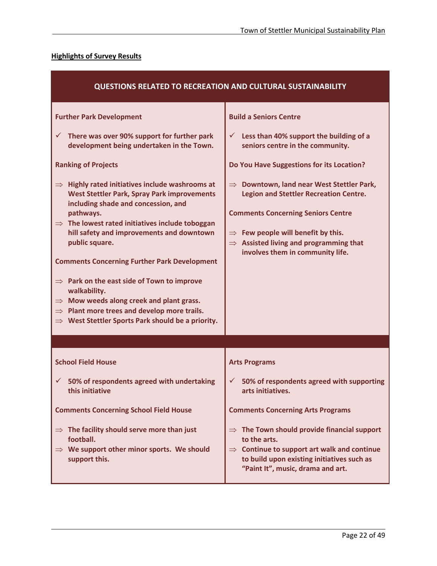## **Highlights of Survey Results**

| <b>QUESTIONS RELATED TO RECREATION AND CULTURAL SUSTAINABILITY</b>                                                                                                                                                                                                                                                                                                                                                                                                                                                                                                                                                                                                                                                                                                                            |                                                                                                                                                                                                                                                                                                                                                                                                                                                                   |  |  |
|-----------------------------------------------------------------------------------------------------------------------------------------------------------------------------------------------------------------------------------------------------------------------------------------------------------------------------------------------------------------------------------------------------------------------------------------------------------------------------------------------------------------------------------------------------------------------------------------------------------------------------------------------------------------------------------------------------------------------------------------------------------------------------------------------|-------------------------------------------------------------------------------------------------------------------------------------------------------------------------------------------------------------------------------------------------------------------------------------------------------------------------------------------------------------------------------------------------------------------------------------------------------------------|--|--|
| <b>Further Park Development</b><br>There was over 90% support for further park<br>✓<br>development being undertaken in the Town.<br><b>Ranking of Projects</b><br>$\Rightarrow$ Highly rated initiatives include washrooms at<br><b>West Stettler Park, Spray Park improvements</b><br>including shade and concession, and<br>pathways.<br>$\Rightarrow$ The lowest rated initiatives include toboggan<br>hill safety and improvements and downtown<br>public square.<br><b>Comments Concerning Further Park Development</b><br>$\Rightarrow$ Park on the east side of Town to improve<br>walkability.<br>Mow weeds along creek and plant grass.<br>$\Rightarrow$<br>$\Rightarrow$ Plant more trees and develop more trails.<br>$\Rightarrow$ West Stettler Sports Park should be a priority. | <b>Build a Seniors Centre</b><br>Less than 40% support the building of a<br>✓<br>seniors centre in the community.<br>Do You Have Suggestions for its Location?<br>$\Rightarrow$ Downtown, land near West Stettler Park,<br><b>Legion and Stettler Recreation Centre.</b><br><b>Comments Concerning Seniors Centre</b><br>$\Rightarrow$ Few people will benefit by this.<br>$\Rightarrow$ Assisted living and programming that<br>involves them in community life. |  |  |
|                                                                                                                                                                                                                                                                                                                                                                                                                                                                                                                                                                                                                                                                                                                                                                                               |                                                                                                                                                                                                                                                                                                                                                                                                                                                                   |  |  |
| <b>School Field House</b>                                                                                                                                                                                                                                                                                                                                                                                                                                                                                                                                                                                                                                                                                                                                                                     | <b>Arts Programs</b>                                                                                                                                                                                                                                                                                                                                                                                                                                              |  |  |
| $\checkmark$<br>50% of respondents agreed with undertaking<br>this initiative                                                                                                                                                                                                                                                                                                                                                                                                                                                                                                                                                                                                                                                                                                                 | $\checkmark$<br>50% of respondents agreed with supporting<br>arts initiatives.                                                                                                                                                                                                                                                                                                                                                                                    |  |  |
| <b>Comments Concerning School Field House</b>                                                                                                                                                                                                                                                                                                                                                                                                                                                                                                                                                                                                                                                                                                                                                 | <b>Comments Concerning Arts Programs</b>                                                                                                                                                                                                                                                                                                                                                                                                                          |  |  |
| $\Rightarrow$ The facility should serve more than just<br>football.<br>$\Rightarrow$ We support other minor sports. We should<br>support this.                                                                                                                                                                                                                                                                                                                                                                                                                                                                                                                                                                                                                                                | $\Rightarrow$ The Town should provide financial support<br>to the arts.<br>$\Rightarrow$ Continue to support art walk and continue<br>to build upon existing initiatives such as<br>"Paint It", music, drama and art.                                                                                                                                                                                                                                             |  |  |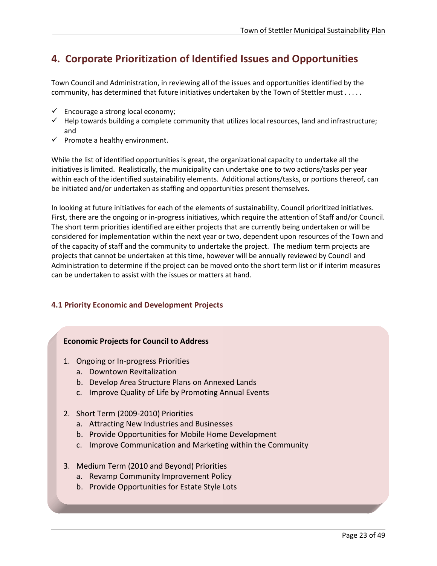# <span id="page-24-0"></span>**4. Corporate Prioritization of Identified Issues and Opportunities**

Town Council and Administration, in reviewing all of the issues and opportunities identified by the community, has determined that future initiatives undertaken by the Town of Stettler must . . . . .

- $\checkmark$  Encourage a strong local economy;
- $\checkmark$  Help towards building a complete community that utilizes local resources, land and infrastructure; and
- $\checkmark$  Promote a healthy environment.

While the list of identified opportunities is great, the organizational capacity to undertake all the initiatives is limited. Realistically, the municipality can undertake one to two actions/tasks per year within each of the identified sustainability elements. Additional actions/tasks, or portions thereof, can be initiated and/or undertaken as staffing and opportunities present themselves.

In looking at future initiatives for each of the elements of sustainability, Council prioritized initiatives. First, there are the ongoing or in-progress initiatives, which require the attention of Staff and/or Council. The short term priorities identified are either projects that are currently being undertaken or will be considered for implementation within the next year or two, dependent upon resources of the Town and of the capacity of staff and the community to undertake the project. The medium term projects are projects that cannot be undertaken at this time, however will be annually reviewed by Council and Administration to determine if the project can be moved onto the short term list or if interim measures can be undertaken to assist with the issues or matters at hand.

## <span id="page-24-1"></span>**4.1 Priority Economic and Development Projects**

## **Economic Projects for Council to Address**

- 1. Ongoing or In-progress Priorities
	- a. Downtown Revitalization
	- b. Develop Area Structure Plans on Annexed Lands
	- c. Improve Quality of Life by Promoting Annual Events
- 2. Short Term (2009-2010) Priorities

- a. Attracting New Industries and Businesses
- b. Provide Opportunities for Mobile Home Development
- c. Improve Communication and Marketing within the Community
- 3. Medium Term (2010 and Beyond) Priorities
	- a. Revamp Community Improvement Policy
	- b. Provide Opportunities for Estate Style Lots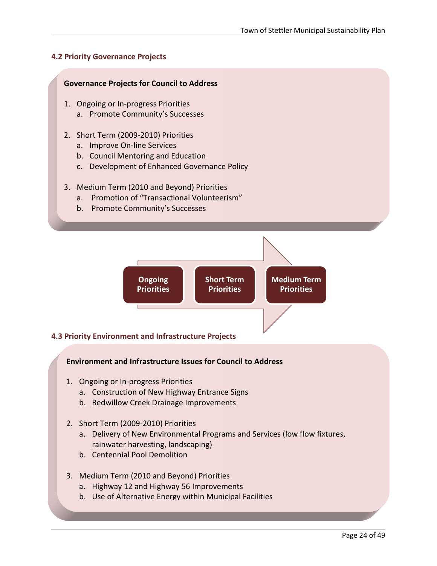## <span id="page-25-0"></span>**4.2 Priority Governance Projects**

## **Governance Projects for Council to Address**

- 1. Ongoing or In-progress Priorities a. Promote Community's Successes
- 2. Short Term (2009-2010) Priorities
	- a. Improve On-line Services
	- b. Council Mentoring and Education
	- c. Development of Enhanced Governance Policy

## 3. Medium Term (2010 and Beyond) Priorities

- a. Promotion of "Transactional Volunteerism"
- <span id="page-25-1"></span>b. Promote Community's Successes



## **4.3 Priority Environment and Infrastructure Projects**

## **Environment and Infrastructure Issues for Council to Address**

- 1. Ongoing or In-progress Priorities
	- a. Construction of New Highway Entrance Signs
	- b. Redwillow Creek Drainage Improvements
- 2. Short Term (2009-2010) Priorities
	- a. Delivery of New Environmental Programs and Services (low flow fixtures, rainwater harvesting, landscaping)
	- b. Centennial Pool Demolition

- 3. Medium Term (2010 and Beyond) Priorities
	- a. Highway 12 and Highway 56 Improvements
	- b. Use of Alternative Energy within Municipal Facilities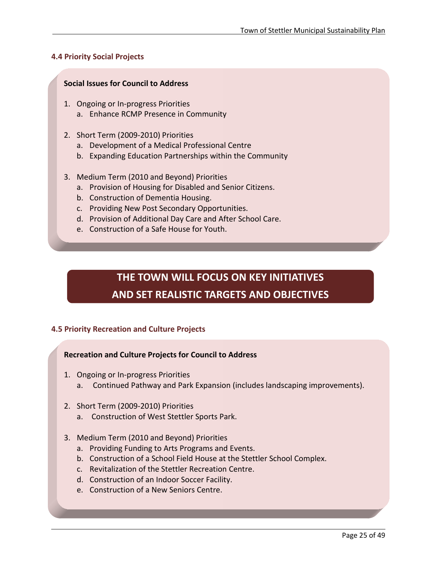## <span id="page-26-0"></span>**4.4 Priority Social Projects**

## **Social Issues for Council to Address**

- 1. Ongoing or In-progress Priorities a. Enhance RCMP Presence in Community
- 2. Short Term (2009-2010) Priorities
	- a. Development of a Medical Professional Centre
	- b. Expanding Education Partnerships within the Community
- <span id="page-26-1"></span>3. Medium Term (2010 and Beyond) Priorities
	- a. Provision of Housing for Disabled and Senior Citizens.
	- b. Construction of Dementia Housing.
	- c. Providing New Post Secondary Opportunities.
	- d. Provision of Additional Day Care and After School Care.
	- e. Construction of a Safe House for Youth.

# **THE TOWN WILL FOCUS ON KEY INITIATIVES AND SET REALISTIC TARGETS AND OBJECTIVES**

## **4.5 Priority Recreation and Culture Projects**

## **Recreation and Culture Projects for Council to Address**

- 1. Ongoing or In-progress Priorities
	- a. Continued Pathway and Park Expansion (includes landscaping improvements).
- 2. Short Term (2009-2010) Priorities

- a. Construction of West Stettler Sports Park.
- 3. Medium Term (2010 and Beyond) Priorities
	- a. Providing Funding to Arts Programs and Events.
	- b. Construction of a School Field House at the Stettler School Complex.
	- c. Revitalization of the Stettler Recreation Centre.
	- d. Construction of an Indoor Soccer Facility.
	- e. Construction of a New Seniors Centre.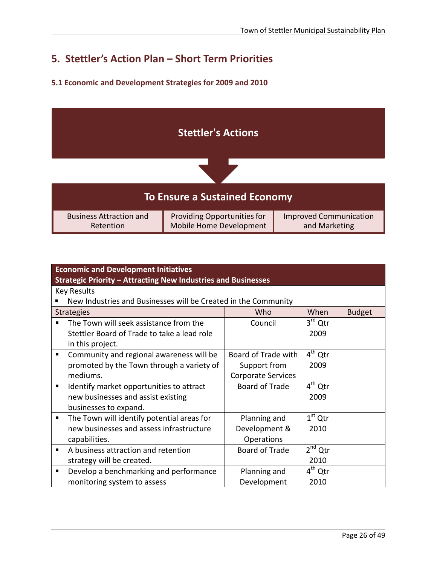# <span id="page-27-0"></span>**5. Stettler's Action Plan – Short Term Priorities**

## <span id="page-27-1"></span>**5.1 Economic and Development Strategies for 2009 and 2010**



| <b>Economic and Development Initiatives</b>                    |                           |                     |               |
|----------------------------------------------------------------|---------------------------|---------------------|---------------|
| Strategic Priority - Attracting New Industries and Businesses  |                           |                     |               |
| <b>Key Results</b>                                             |                           |                     |               |
| New Industries and Businesses will be Created in the Community |                           |                     |               |
| <b>Strategies</b>                                              | Who                       | When                | <b>Budget</b> |
| The Town will seek assistance from the<br>$\blacksquare$       | Council                   | $3rd$ Qtr           |               |
| Stettler Board of Trade to take a lead role                    |                           | 2009                |               |
| in this project.                                               |                           |                     |               |
| Community and regional awareness will be<br>п                  | Board of Trade with       | $4th$ Qtr           |               |
| promoted by the Town through a variety of                      | Support from              | 2009                |               |
| mediums.                                                       | <b>Corporate Services</b> |                     |               |
| Identify market opportunities to attract<br>٠                  | Board of Trade            | $4th$ Qtr           |               |
| new businesses and assist existing                             |                           | 2009                |               |
| businesses to expand.                                          |                           |                     |               |
| The Town will identify potential areas for<br>п                | Planning and              | $1st$ Qtr           |               |
| new businesses and assess infrastructure                       | Development &             | 2010                |               |
| capabilities.                                                  | Operations                |                     |               |
| A business attraction and retention<br>п                       | <b>Board of Trade</b>     | $2nd$ Qtr           |               |
| strategy will be created.                                      |                           | 2010                |               |
| Develop a benchmarking and performance<br>п                    | Planning and              | 4 <sup>th</sup> Qtr |               |
| monitoring system to assess                                    | Development               | 2010                |               |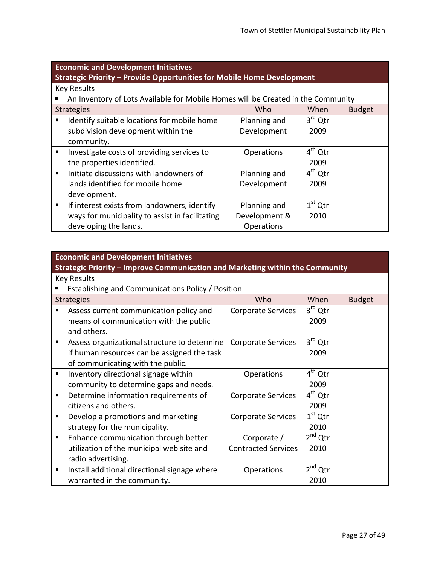| <b>Economic and Development Initiatives</b><br>Strategic Priority - Provide Opportunities for Mobile Home Development |                   |                     |               |
|-----------------------------------------------------------------------------------------------------------------------|-------------------|---------------------|---------------|
| <b>Key Results</b>                                                                                                    |                   |                     |               |
| An Inventory of Lots Available for Mobile Homes will be Created in the Community                                      |                   |                     |               |
| <b>Strategies</b>                                                                                                     | Who               | When                | <b>Budget</b> |
| Identify suitable locations for mobile home<br>٠                                                                      | Planning and      | $3^{\text{rd}}$ Qtr |               |
| subdivision development within the                                                                                    | Development       | 2009                |               |
| community.                                                                                                            |                   |                     |               |
| Investigate costs of providing services to<br>٠                                                                       | <b>Operations</b> | $4th$ Qtr           |               |
| the properties identified.                                                                                            |                   | 2009                |               |
| Initiate discussions with landowners of                                                                               | Planning and      | $4th$ Qtr           |               |
| lands identified for mobile home                                                                                      | Development       | 2009                |               |
| development.                                                                                                          |                   |                     |               |
| If interest exists from landowners, identify<br>٠                                                                     | Planning and      | $1st$ Qtr           |               |
| ways for municipality to assist in facilitating                                                                       | Development &     | 2010                |               |
| developing the lands.                                                                                                 | Operations        |                     |               |

<span id="page-28-0"></span>

| <b>Economic and Development Initiatives</b><br>Strategic Priority – Improve Communication and Marketing within the Community |                            |           |               |
|------------------------------------------------------------------------------------------------------------------------------|----------------------------|-----------|---------------|
| <b>Key Results</b>                                                                                                           |                            |           |               |
| Establishing and Communications Policy / Position                                                                            |                            |           |               |
| <b>Strategies</b>                                                                                                            | Who                        | When      | <b>Budget</b> |
| Assess current communication policy and<br>п                                                                                 | <b>Corporate Services</b>  | $3rd$ Qtr |               |
| means of communication with the public                                                                                       |                            | 2009      |               |
| and others.                                                                                                                  |                            |           |               |
| Assess organizational structure to determine<br>$\blacksquare$                                                               | Corporate Services         | $3rd$ Qtr |               |
| if human resources can be assigned the task<br>2009                                                                          |                            |           |               |
| of communicating with the public.                                                                                            |                            |           |               |
| Inventory directional signage within<br>٠                                                                                    | <b>Operations</b>          | $4th$ Qtr |               |
| community to determine gaps and needs.                                                                                       |                            | 2009      |               |
| Determine information requirements of<br>٠                                                                                   | Corporate Services         | $4th$ Qtr |               |
| citizens and others.                                                                                                         |                            | 2009      |               |
| Develop a promotions and marketing<br>п                                                                                      | <b>Corporate Services</b>  | $1st$ Qtr |               |
| strategy for the municipality.                                                                                               |                            | 2010      |               |
| Enhance communication through better<br>٠                                                                                    | Corporate /                | $2nd$ Qtr |               |
| utilization of the municipal web site and                                                                                    | <b>Contracted Services</b> | 2010      |               |
| radio advertising.                                                                                                           |                            |           |               |
| Install additional directional signage where<br>п                                                                            | <b>Operations</b>          | $2nd$ Qtr |               |
| warranted in the community.                                                                                                  |                            | 2010      |               |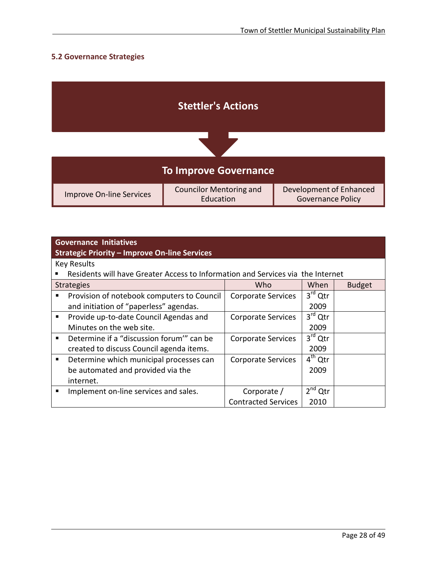## **5.2 Governance Strategies**

| <b>Stettler's Actions</b>       |                                             |                                                     |  |
|---------------------------------|---------------------------------------------|-----------------------------------------------------|--|
|                                 |                                             |                                                     |  |
| <b>To Improve Governance</b>    |                                             |                                                     |  |
| <b>Improve On-line Services</b> | <b>Councilor Mentoring and</b><br>Education | Development of Enhanced<br><b>Governance Policy</b> |  |

|   | <b>Governance Initiatives</b><br><b>Strategic Priority - Improve On-line Services</b> |                            |                     |               |
|---|---------------------------------------------------------------------------------------|----------------------------|---------------------|---------------|
|   | <b>Key Results</b>                                                                    |                            |                     |               |
|   | Residents will have Greater Access to Information and Services via the Internet       |                            |                     |               |
|   | <b>Strategies</b>                                                                     | Who                        | When                | <b>Budget</b> |
| ٠ | Provision of notebook computers to Council                                            | <b>Corporate Services</b>  | $3^{\text{rd}}$ Qtr |               |
|   | and initiation of "paperless" agendas.                                                |                            | 2009                |               |
| ٠ | Provide up-to-date Council Agendas and                                                | Corporate Services         | $3rd$ Qtr           |               |
|   | Minutes on the web site.                                                              |                            | 2009                |               |
| ٠ | Determine if a "discussion forum" can be                                              | <b>Corporate Services</b>  | $3rd$ Qtr           |               |
|   | created to discuss Council agenda items.                                              |                            | 2009                |               |
| ٠ | Determine which municipal processes can                                               | <b>Corporate Services</b>  | $4th$ Qtr           |               |
|   | be automated and provided via the                                                     |                            | 2009                |               |
|   | internet.                                                                             |                            |                     |               |
| п | Implement on-line services and sales.                                                 | Corporate /                | $2^{nd}$ Qtr        |               |
|   |                                                                                       | <b>Contracted Services</b> | 2010                |               |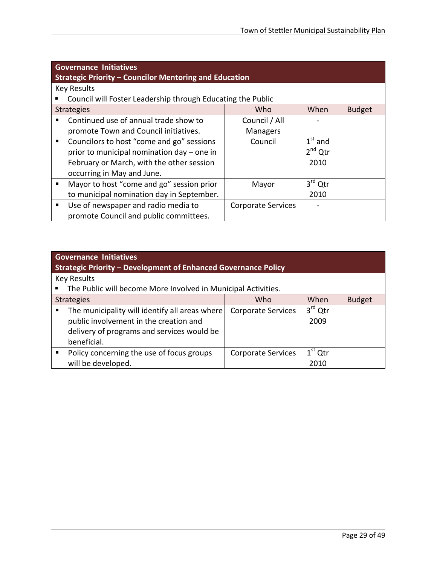| <b>Governance Initiatives</b><br><b>Strategic Priority - Councilor Mentoring and Education</b> |                           |           |               |  |
|------------------------------------------------------------------------------------------------|---------------------------|-----------|---------------|--|
| <b>Key Results</b>                                                                             |                           |           |               |  |
| Council will Foster Leadership through Educating the Public                                    |                           |           |               |  |
| <b>Strategies</b>                                                                              | Who                       | When      | <b>Budget</b> |  |
| Continued use of annual trade show to<br>▪                                                     | Council / All             |           |               |  |
| promote Town and Council initiatives.                                                          | <b>Managers</b>           |           |               |  |
| Councilors to host "come and go" sessions<br>$\blacksquare$                                    | Council                   | $1st$ and |               |  |
| prior to municipal nomination day – one in                                                     |                           | $2nd$ Qtr |               |  |
| February or March, with the other session<br>2010                                              |                           |           |               |  |
| occurring in May and June.                                                                     |                           |           |               |  |
| Mayor to host "come and go" session prior<br>п                                                 | Mayor                     | $3rd$ Qtr |               |  |
| to municipal nomination day in September.                                                      |                           | 2010      |               |  |
| Use of newspaper and radio media to<br>٠                                                       | <b>Corporate Services</b> |           |               |  |
| promote Council and public committees.                                                         |                           |           |               |  |

<span id="page-30-0"></span>

| <b>Governance Initiatives</b><br>Strategic Priority – Development of Enhanced Governance Policy                                                             |                           |                   |               |  |
|-------------------------------------------------------------------------------------------------------------------------------------------------------------|---------------------------|-------------------|---------------|--|
| <b>Key Results</b>                                                                                                                                          |                           |                   |               |  |
| The Public will become More Involved in Municipal Activities.                                                                                               |                           |                   |               |  |
| <b>Strategies</b>                                                                                                                                           | Who                       | When              | <b>Budget</b> |  |
| The municipality will identify all areas where<br>п.<br>public involvement in the creation and<br>delivery of programs and services would be<br>beneficial. | <b>Corporate Services</b> | $3rd$ Qtr<br>2009 |               |  |
| Policy concerning the use of focus groups<br>will be developed.                                                                                             | <b>Corporate Services</b> | $1st$ Qtr<br>2010 |               |  |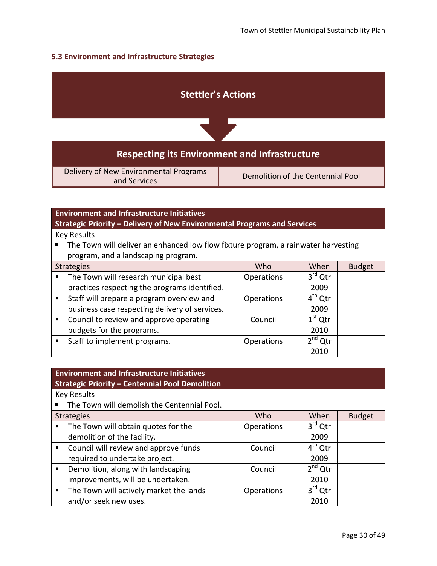## **5.3 Environment and Infrastructure Strategies**



| <b>Environment and Infrastructure Initiatives</b><br>Strategic Priority - Delivery of New Environmental Programs and Services |                   |              |               |  |
|-------------------------------------------------------------------------------------------------------------------------------|-------------------|--------------|---------------|--|
| <b>Key Results</b>                                                                                                            |                   |              |               |  |
| The Town will deliver an enhanced low flow fixture program, a rainwater harvesting                                            |                   |              |               |  |
| program, and a landscaping program.                                                                                           |                   |              |               |  |
| <b>Strategies</b>                                                                                                             | Who               | When         | <b>Budget</b> |  |
| The Town will research municipal best<br>٠                                                                                    | <b>Operations</b> | $3rd$ Qtr    |               |  |
| practices respecting the programs identified.                                                                                 |                   | 2009         |               |  |
| Staff will prepare a program overview and<br>$\blacksquare$                                                                   | <b>Operations</b> | $4th$ Qtr    |               |  |
| business case respecting delivery of services.                                                                                |                   | 2009         |               |  |
| Council to review and approve operating<br>٠                                                                                  | Council           | $1st$ Qtr    |               |  |
| budgets for the programs.                                                                                                     |                   | 2010         |               |  |
| Staff to implement programs.<br>٠                                                                                             | <b>Operations</b> | $2^{nd}$ Qtr |               |  |
|                                                                                                                               |                   | 2010         |               |  |

| <b>Environment and Infrastructure Initiatives</b><br><b>Strategic Priority - Centennial Pool Demolition</b> |                   |              |  |  |
|-------------------------------------------------------------------------------------------------------------|-------------------|--------------|--|--|
| <b>Key Results</b>                                                                                          |                   |              |  |  |
| The Town will demolish the Centennial Pool.                                                                 |                   |              |  |  |
| Who<br>When<br><b>Budget</b><br><b>Strategies</b>                                                           |                   |              |  |  |
| The Town will obtain quotes for the<br>٠                                                                    | <b>Operations</b> | $3rd$ Qtr    |  |  |
| demolition of the facility.                                                                                 |                   | 2009         |  |  |
| Council will review and approve funds<br>$\blacksquare$                                                     | Council           | $4^{th}$ Qtr |  |  |
| required to undertake project.                                                                              |                   | 2009         |  |  |
| Demolition, along with landscaping<br>٠                                                                     | Council           | $2nd$ Qtr    |  |  |
| improvements, will be undertaken.                                                                           |                   | 2010         |  |  |
| The Town will actively market the lands<br>٠                                                                | <b>Operations</b> | $3rd$ Qtr    |  |  |
| and/or seek new uses.                                                                                       |                   | 2010         |  |  |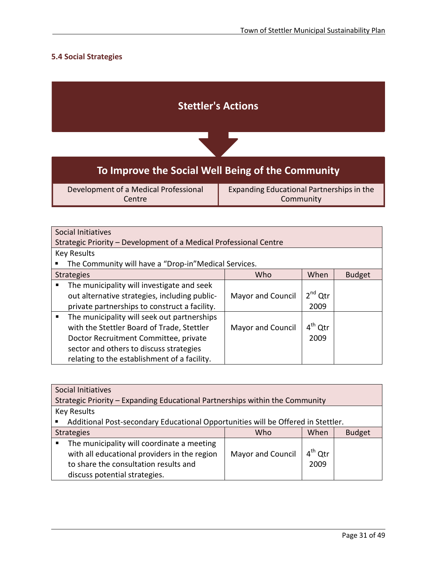## <span id="page-32-0"></span>**5.4 Social Strategies**

|                                                 | <b>Stettler's Actions</b>                              |  |
|-------------------------------------------------|--------------------------------------------------------|--|
|                                                 |                                                        |  |
|                                                 | To Improve the Social Well Being of the Community      |  |
| Development of a Medical Professional<br>Centre | Expanding Educational Partnerships in the<br>Community |  |

|                | Social Initiatives                                                |                          |              |               |
|----------------|-------------------------------------------------------------------|--------------------------|--------------|---------------|
|                | Strategic Priority – Development of a Medical Professional Centre |                          |              |               |
|                | <b>Key Results</b>                                                |                          |              |               |
|                | The Community will have a "Drop-in" Medical Services.             |                          |              |               |
|                | <b>Strategies</b>                                                 | Who                      | When         | <b>Budget</b> |
| ٠              | The municipality will investigate and seek                        |                          |              |               |
|                | out alternative strategies, including public-                     | <b>Mayor and Council</b> | $2^{nd}$ Qtr |               |
|                | private partnerships to construct a facility.                     |                          | 2009         |               |
| $\blacksquare$ | The municipality will seek out partnerships                       |                          |              |               |
|                | with the Stettler Board of Trade, Stettler                        | <b>Mayor and Council</b> | $4^{th}$ Qtr |               |
|                | Doctor Recruitment Committee, private                             |                          | 2009         |               |
|                | sector and others to discuss strategies                           |                          |              |               |
|                | relating to the establishment of a facility.                      |                          |              |               |

<span id="page-32-1"></span>

| Social Initiatives                                                               |                   |           |  |
|----------------------------------------------------------------------------------|-------------------|-----------|--|
| Strategic Priority - Expanding Educational Partnerships within the Community     |                   |           |  |
| <b>Key Results</b>                                                               |                   |           |  |
| Additional Post-secondary Educational Opportunities will be Offered in Stettler. |                   |           |  |
| When<br><b>Budget</b><br>Who<br><b>Strategies</b>                                |                   |           |  |
| The municipality will coordinate a meeting<br>$\blacksquare$                     |                   |           |  |
| with all educational providers in the region                                     | Mayor and Council | $4th$ Qtr |  |
| to share the consultation results and                                            |                   | 2009      |  |
| discuss potential strategies.                                                    |                   |           |  |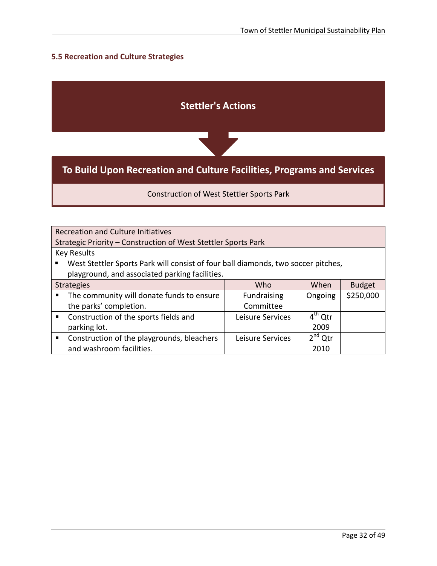## **5.5 Recreation and Culture Strategies**

l



Construction of West Stettler Sports Park

| <b>Recreation and Culture Initiatives</b>                                         |                  |              |               |
|-----------------------------------------------------------------------------------|------------------|--------------|---------------|
| Strategic Priority - Construction of West Stettler Sports Park                    |                  |              |               |
| <b>Key Results</b>                                                                |                  |              |               |
| West Stettler Sports Park will consist of four ball diamonds, two soccer pitches, |                  |              |               |
| playground, and associated parking facilities.                                    |                  |              |               |
| Who<br>When<br><b>Strategies</b>                                                  |                  |              | <b>Budget</b> |
| The community will donate funds to ensure<br>п                                    | Fundraising      | Ongoing      | \$250,000     |
| the parks' completion.                                                            | Committee        |              |               |
| Construction of the sports fields and                                             | Leisure Services | $4th$ Qtr    |               |
| parking lot.                                                                      |                  | 2009         |               |
| Construction of the playgrounds, bleachers                                        | Leisure Services | $2^{nd}$ Otr |               |
| and washroom facilities.                                                          |                  | 2010         |               |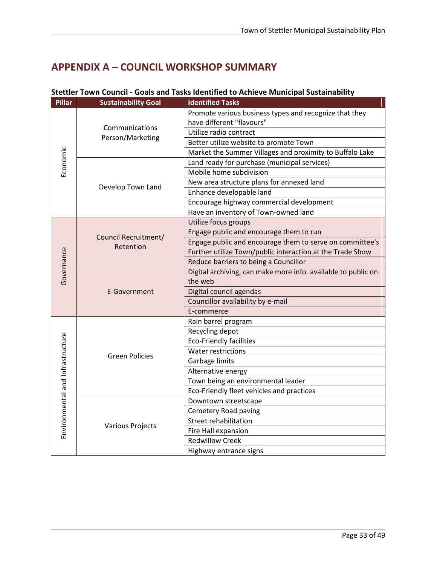# <span id="page-34-0"></span>**APPENDIX A – COUNCIL WORKSHOP SUMMARY**

l

| <b>Pillar</b>                    | <b>Sustainability Goal</b> | <b>Identified Tasks</b>                                       |
|----------------------------------|----------------------------|---------------------------------------------------------------|
|                                  |                            | Promote various business types and recognize that they        |
|                                  | Communications             | have different "flavours"                                     |
|                                  | Person/Marketing           | Utilize radio contract                                        |
|                                  |                            | Better utilize website to promote Town                        |
|                                  |                            | Market the Summer Villages and proximity to Buffalo Lake      |
| Economic                         |                            | Land ready for purchase (municipal services)                  |
|                                  |                            | Mobile home subdivision                                       |
|                                  | Develop Town Land          | New area structure plans for annexed land                     |
|                                  |                            | Enhance developable land                                      |
|                                  |                            | Encourage highway commercial development                      |
|                                  |                            | Have an inventory of Town-owned land                          |
|                                  |                            | Utilize focus groups                                          |
|                                  | Council Recruitment/       | Engage public and encourage them to run                       |
|                                  | Retention                  | Engage public and encourage them to serve on committee's      |
|                                  |                            | Further utilize Town/public interaction at the Trade Show     |
|                                  |                            | Reduce barriers to being a Councillor                         |
| Governance                       |                            | Digital archiving, can make more info. available to public on |
|                                  |                            | the web                                                       |
|                                  | E-Government               | Digital council agendas                                       |
|                                  |                            | Councillor availability by e-mail                             |
|                                  |                            | E-commerce                                                    |
|                                  |                            | Rain barrel program                                           |
|                                  |                            | Recycling depot                                               |
|                                  |                            | <b>Eco-Friendly facilities</b>                                |
|                                  | <b>Green Policies</b>      | <b>Water restrictions</b>                                     |
|                                  |                            | Garbage limits                                                |
|                                  |                            | Alternative energy                                            |
|                                  |                            | Town being an environmental leader                            |
|                                  |                            | Eco-Friendly fleet vehicles and practices                     |
|                                  |                            | Downtown streetscape                                          |
|                                  |                            | Cemetery Road paving                                          |
|                                  | <b>Various Projects</b>    | <b>Street rehabilitation</b>                                  |
| Environmental and Infrastructure |                            | Fire Hall expansion                                           |
|                                  |                            | <b>Redwillow Creek</b>                                        |
|                                  |                            | Highway entrance signs                                        |

## **Stettler Town Council - Goals and Tasks Identified to Achieve Municipal Sustainability**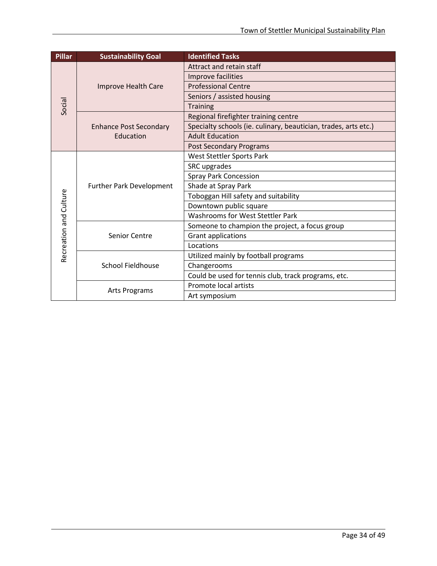| <b>Pillar</b>          | <b>Sustainability Goal</b>      | <b>Identified Tasks</b>                                         |
|------------------------|---------------------------------|-----------------------------------------------------------------|
|                        |                                 | Attract and retain staff                                        |
|                        |                                 | Improve facilities                                              |
|                        | Improve Health Care             | <b>Professional Centre</b>                                      |
|                        |                                 | Seniors / assisted housing                                      |
| Social                 |                                 | <b>Training</b>                                                 |
|                        |                                 | Regional firefighter training centre                            |
|                        | <b>Enhance Post Secondary</b>   | Specialty schools (ie. culinary, beautician, trades, arts etc.) |
|                        | Education                       | <b>Adult Education</b>                                          |
|                        |                                 | <b>Post Secondary Programs</b>                                  |
|                        |                                 | West Stettler Sports Park                                       |
|                        |                                 | SRC upgrades                                                    |
|                        |                                 | <b>Spray Park Concession</b>                                    |
|                        | <b>Further Park Development</b> | Shade at Spray Park                                             |
| Recreation and Culture |                                 | Toboggan Hill safety and suitability                            |
|                        |                                 | Downtown public square                                          |
|                        |                                 | Washrooms for West Stettler Park                                |
|                        |                                 | Someone to champion the project, a focus group                  |
|                        | Senior Centre                   | Grant applications                                              |
|                        |                                 | Locations                                                       |
|                        |                                 | Utilized mainly by football programs                            |
|                        | <b>School Fieldhouse</b>        | Changerooms                                                     |
|                        |                                 | Could be used for tennis club, track programs, etc.             |
|                        |                                 | Promote local artists                                           |
|                        | <b>Arts Programs</b>            | Art symposium                                                   |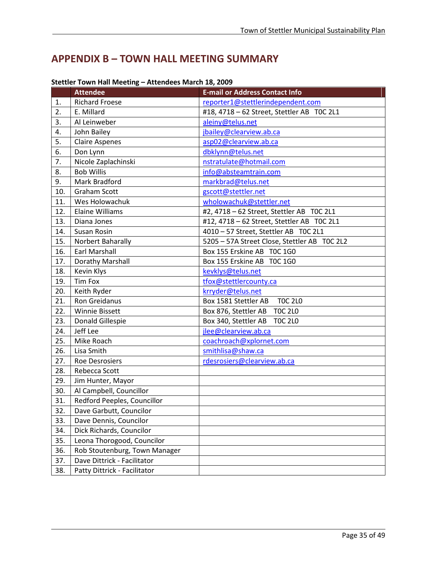# <span id="page-36-0"></span>**APPENDIX B – TOWN HALL MEETING SUMMARY**

|     | <b>Attendee</b>               | <b>E-mail or Address Contact Info</b>        |
|-----|-------------------------------|----------------------------------------------|
| 1.  | <b>Richard Froese</b>         | reporter1@stettlerindependent.com            |
| 2.  | E. Millard                    | #18, 4718 - 62 Street, Stettler AB TOC 2L1   |
| 3.  | Al Leinweber                  | aleiny@telus.net                             |
| 4.  | John Bailey                   | jbailey@clearview.ab.ca                      |
| 5.  | <b>Claire Aspenes</b>         | asp02@clearview.ab.ca                        |
| 6.  | Don Lynn                      | dbklynn@telus.net                            |
| 7.  | Nicole Zaplachinski           | nstratulate@hotmail.com                      |
| 8.  | <b>Bob Willis</b>             | info@absteamtrain.com                        |
| 9.  | Mark Bradford                 | markbrad@telus.net                           |
| 10. | <b>Graham Scott</b>           | gscott@stettler.net                          |
| 11. | Wes Holowachuk                | wholowachuk@stettler.net                     |
| 12. | <b>Elaine Williams</b>        | #2, 4718 - 62 Street, Stettler AB TOC 2L1    |
| 13. | Diana Jones                   | #12, 4718 - 62 Street, Stettler AB TOC 2L1   |
| 14. | Susan Rosin                   | 4010 - 57 Street, Stettler AB TOC 2L1        |
| 15. | Norbert Baharally             | 5205 - 57A Street Close, Stettler AB TOC 2L2 |
| 16. | <b>Earl Marshall</b>          | Box 155 Erskine AB TOC 1G0                   |
| 17. | Dorathy Marshall              | Box 155 Erskine AB TOC 1G0                   |
| 18. | Kevin Klys                    | kevklys@telus.net                            |
| 19. | Tim Fox                       | tfox@stettlercounty.ca                       |
| 20. | Keith Ryder                   | krryder@telus.net                            |
| 21. | Ron Greidanus                 | <b>TOC 2L0</b><br>Box 1581 Stettler AB       |
| 22. | <b>Winnie Bissett</b>         | <b>TOC 2L0</b><br>Box 876, Stettler AB       |
| 23. | Donald Gillespie              | Box 340, Stettler AB<br><b>TOC 2L0</b>       |
| 24. | Jeff Lee                      | jlee@clearview.ab.ca                         |
| 25. | Mike Roach                    | coachroach@xplornet.com                      |
| 26. | Lisa Smith                    | smithlisa@shaw.ca                            |
| 27. | <b>Roe Desrosiers</b>         | rdesrosiers@clearview.ab.ca                  |
| 28. | Rebecca Scott                 |                                              |
| 29. | Jim Hunter, Mayor             |                                              |
| 30. | Al Campbell, Councillor       |                                              |
| 31. | Redford Peeples, Councillor   |                                              |
| 32. | Dave Garbutt, Councilor       |                                              |
| 33. | Dave Dennis, Councilor        |                                              |
| 34. | Dick Richards, Councilor      |                                              |
| 35. | Leona Thorogood, Councilor    |                                              |
| 36. | Rob Stoutenburg, Town Manager |                                              |
| 37. | Dave Dittrick - Facilitator   |                                              |
| 38. | Patty Dittrick - Facilitator  |                                              |

## **Stettler Town Hall Meeting – Attendees March 18, 2009**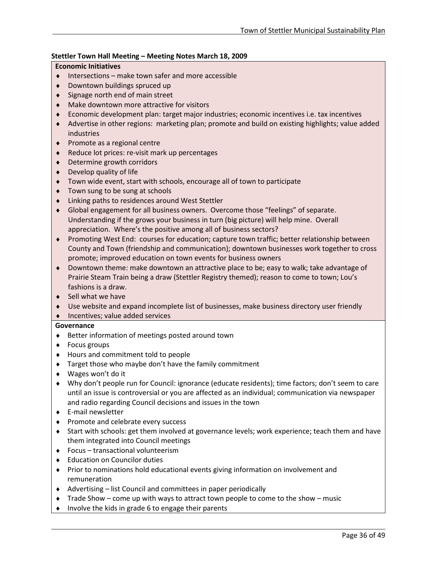## **Stettler Town Hall Meeting – Meeting Notes March 18, 2009**

## **Economic Initiatives**

- ♦ Intersections make town safer and more accessible
- ♦ Downtown buildings spruced up
- ♦ Signage north end of main street
- ♦ Make downtown more attractive for visitors
- ♦ Economic development plan: target major industries; economic incentives i.e. tax incentives
- ♦ Advertise in other regions: marketing plan; promote and build on existing highlights; value added industries
- ♦ Promote as a regional centre
- Reduce lot prices: re-visit mark up percentages
- Determine growth corridors
- ♦ Develop quality of life
- Town wide event, start with schools, encourage all of town to participate
- ♦ Town sung to be sung at schools
- ♦ Linking paths to residences around West Stettler
- ♦ Global engagement for all business owners. Overcome those "feelings" of separate. Understanding if the grows your business in turn (big picture) will help mine. Overall appreciation. Where's the positive among all of business sectors?
- ♦ Promoting West End: courses for education; capture town traffic; better relationship between County and Town (friendship and communication); downtown businesses work together to cross promote; improved education on town events for business owners
- ♦ Downtown theme: make downtown an attractive place to be; easy to walk; take advantage of Prairie Steam Train being a draw (Stettler Registry themed); reason to come to town; Lou's fashions is a draw.
- $\bullet$  Sell what we have
- ♦ Use website and expand incomplete list of businesses, make business directory user friendly
- ♦ Incentives; value added services

## **Governance**

- ♦ Better information of meetings posted around town
- ♦ Focus groups
- ♦ Hours and commitment told to people
- ♦ Target those who maybe don't have the family commitment
- ♦ Wages won't do it
- ♦ Why don't people run for Council: ignorance (educate residents); time factors; don't seem to care until an issue is controversial or you are affected as an individual; communication via newspaper and radio regarding Council decisions and issues in the town
- ♦ E-mail newsletter

- ♦ Promote and celebrate every success
- ♦ Start with schools: get them involved at governance levels; work experience; teach them and have them integrated into Council meetings
- ♦ Focus transactional volunteerism
- ♦ Education on Councilor duties
- ♦ Prior to nominations hold educational events giving information on involvement and remuneration
- ♦ Advertising list Council and committees in paper periodically
- $\bullet$  Trade Show come up with ways to attract town people to come to the show music
- ♦ Involve the kids in grade 6 to engage their parents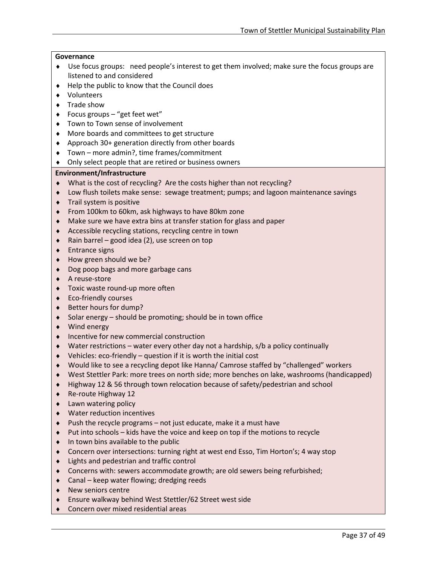#### **Governance**

- ♦ Use focus groups: need people's interest to get them involved; make sure the focus groups are listened to and considered
- ♦ Help the public to know that the Council does
- ♦ Volunteers
- ♦ Trade show
- ♦ Focus groups "get feet wet"
- ♦ Town to Town sense of involvement
- ♦ More boards and committees to get structure
- ♦ Approach 30+ generation directly from other boards
- ♦ Town more admin?, time frames/commitment
- ♦ Only select people that are retired or business owners

## **Environment/Infrastructure**

- ♦ What is the cost of recycling? Are the costs higher than not recycling?
- ♦ Low flush toilets make sense: sewage treatment; pumps; and lagoon maintenance savings
- ♦ Trail system is positive
- ♦ From 100km to 60km, ask highways to have 80km zone
- ♦ Make sure we have extra bins at transfer station for glass and paper
- ♦ Accessible recycling stations, recycling centre in town
- $\bullet$  Rain barrel good idea (2), use screen on top
- ♦ Entrance signs
- How green should we be?
- ♦ Dog poop bags and more garbage cans
- ♦ A reuse-store
- ♦ Toxic waste round-up more often
- ♦ Eco-friendly courses
- ♦ Better hours for dump?
- Solar energy  $-$  should be promoting; should be in town office
- ♦ Wind energy
- Incentive for new commercial construction
- $\blacklozenge$  Water restrictions water every other day not a hardship, s/b a policy continually
- Vehicles:  $eco$ -friendly question if it is worth the initial cost
- Would like to see a recycling depot like Hanna/ Camrose staffed by "challenged" workers
- ♦ West Stettler Park: more trees on north side; more benches on lake, washrooms (handicapped)
- Highway 12 & 56 through town relocation because of safety/pedestrian and school
- Re-route Highway 12
- Lawn watering policy
- ♦ Water reduction incentives
- Push the recycle programs  $-$  not just educate, make it a must have
- ♦ Put into schools kids have the voice and keep on top if the motions to recycle
- In town bins available to the public
- ♦ Concern over intersections: turning right at west end Esso, Tim Horton's; 4 way stop
- ♦ Lights and pedestrian and traffic control
- ♦ Concerns with: sewers accommodate growth; are old sewers being refurbished;
- $\bullet$  Canal keep water flowing; dredging reeds
- ♦ New seniors centre

- ♦ Ensure walkway behind West Stettler/62 Street west side
- ♦ Concern over mixed residential areas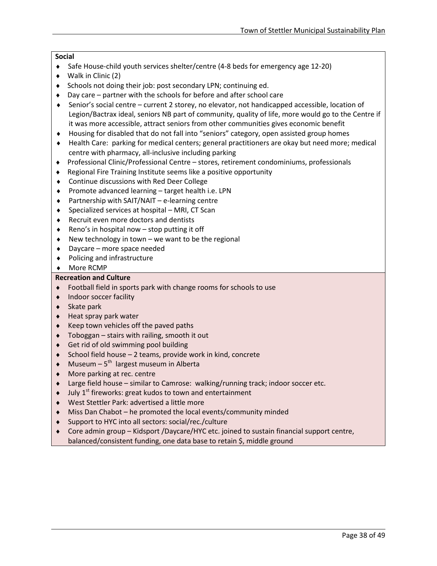## **Social**

- ♦ Safe House-child youth services shelter/centre (4-8 beds for emergency age 12-20)
- ♦ Walk in Clinic (2)
- ♦ Schools not doing their job: post secondary LPN; continuing ed.
- ♦ Day care partner with the schools for before and after school care
- ♦ Senior's social centre current 2 storey, no elevator, not handicapped accessible, location of Legion/Bactrax ideal, seniors NB part of community, quality of life, more would go to the Centre if it was more accessible, attract seniors from other communities gives economic benefit
- ♦ Housing for disabled that do not fall into "seniors" category, open assisted group homes
- ♦ Health Care: parking for medical centers; general practitioners are okay but need more; medical centre with pharmacy, all-inclusive including parking
- ♦ Professional Clinic/Professional Centre stores, retirement condominiums, professionals
- ♦ Regional Fire Training Institute seems like a positive opportunity
- ♦ Continue discussions with Red Deer College
- ♦ Promote advanced learning target health i.e. LPN
- ♦ Partnership with SAIT/NAIT e-learning centre
- $\triangle$  Specialized services at hospital MRI, CT Scan
- ♦ Recruit even more doctors and dentists
- $\triangle$  Reno's in hospital now stop putting it off
- $\bullet$  New technology in town we want to be the regional
- ♦ Daycare more space needed
- ♦ Policing and infrastructure
- ♦ More RCMP

## **Recreation and Culture**

- ♦ Football field in sports park with change rooms for schools to use
- ♦ Indoor soccer facility
- ♦ Skate park

- ♦ Heat spray park water
- Keep town vehicles off the paved paths
- Toboggan  $-$  stairs with railing, smooth it out
- Get rid of old swimming pool building
- School field house  $-2$  teams, provide work in kind, concrete
- Museum  $5<sup>th</sup>$  largest museum in Alberta
- More parking at rec. centre
- Large field house similar to Camrose: walking/running track; indoor soccer etc.
- July  $1<sup>st</sup>$  fireworks: great kudos to town and entertainment
- West Stettler Park: advertised a little more
- Miss Dan Chabot he promoted the local events/community minded
- Support to HYC into all sectors: social/rec./culture
- Core admin group Kidsport /Daycare/HYC etc. joined to sustain financial support centre, balanced/consistent funding, one data base to retain \$, middle ground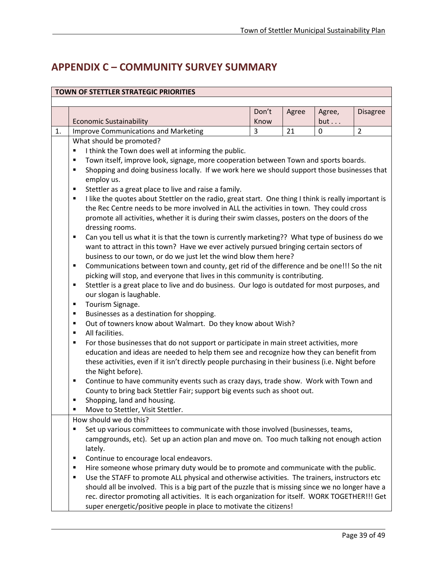# <span id="page-40-0"></span>**APPENDIX C – COMMUNITY SURVEY SUMMARY**

| <b>TOWN OF STETTLER STRATEGIC PRIORITIES</b> |                                                                                                                          |       |       |          |                 |  |
|----------------------------------------------|--------------------------------------------------------------------------------------------------------------------------|-------|-------|----------|-----------------|--|
|                                              |                                                                                                                          |       |       |          |                 |  |
|                                              |                                                                                                                          | Don't | Agree | Agree,   | <b>Disagree</b> |  |
|                                              | <b>Economic Sustainability</b>                                                                                           | Know  |       | but      |                 |  |
| 1.                                           | <b>Improve Communications and Marketing</b>                                                                              | 3     | 21    | $\Omega$ | $\overline{2}$  |  |
|                                              | What should be promoted?                                                                                                 |       |       |          |                 |  |
|                                              | I think the Town does well at informing the public.<br>٠                                                                 |       |       |          |                 |  |
|                                              | Town itself, improve look, signage, more cooperation between Town and sports boards.<br>٠                                |       |       |          |                 |  |
|                                              | Shopping and doing business locally. If we work here we should support those businesses that<br>٠                        |       |       |          |                 |  |
|                                              | employ us.                                                                                                               |       |       |          |                 |  |
|                                              | Stettler as a great place to live and raise a family.<br>٠                                                               |       |       |          |                 |  |
|                                              | I like the quotes about Stettler on the radio, great start. One thing I think is really important is<br>٠                |       |       |          |                 |  |
|                                              | the Rec Centre needs to be more involved in ALL the activities in town. They could cross                                 |       |       |          |                 |  |
|                                              | promote all activities, whether it is during their swim classes, posters on the doors of the                             |       |       |          |                 |  |
|                                              | dressing rooms.                                                                                                          |       |       |          |                 |  |
|                                              | Can you tell us what it is that the town is currently marketing?? What type of business do we<br>٠                       |       |       |          |                 |  |
|                                              | want to attract in this town? Have we ever actively pursued bringing certain sectors of                                  |       |       |          |                 |  |
|                                              | business to our town, or do we just let the wind blow them here?                                                         |       |       |          |                 |  |
|                                              | Communications between town and county, get rid of the difference and be one!!! So the nit<br>٠                          |       |       |          |                 |  |
|                                              | picking will stop, and everyone that lives in this community is contributing.                                            |       |       |          |                 |  |
|                                              | Stettler is a great place to live and do business. Our logo is outdated for most purposes, and<br>٠                      |       |       |          |                 |  |
|                                              | our slogan is laughable.                                                                                                 |       |       |          |                 |  |
|                                              | Tourism Signage.<br>٠                                                                                                    |       |       |          |                 |  |
|                                              | Businesses as a destination for shopping.<br>٠                                                                           |       |       |          |                 |  |
|                                              | Out of towners know about Walmart. Do they know about Wish?<br>٠                                                         |       |       |          |                 |  |
|                                              | All facilities.<br>٠                                                                                                     |       |       |          |                 |  |
|                                              | For those businesses that do not support or participate in main street activities, more<br>٠                             |       |       |          |                 |  |
|                                              | education and ideas are needed to help them see and recognize how they can benefit from                                  |       |       |          |                 |  |
|                                              | these activities, even if it isn't directly people purchasing in their business (i.e. Night before<br>the Night before). |       |       |          |                 |  |
|                                              | Continue to have community events such as crazy days, trade show. Work with Town and<br>٠                                |       |       |          |                 |  |
|                                              | County to bring back Stettler Fair; support big events such as shoot out.                                                |       |       |          |                 |  |
|                                              | Shopping, land and housing.<br>٠                                                                                         |       |       |          |                 |  |
|                                              | Move to Stettler, Visit Stettler.<br>п                                                                                   |       |       |          |                 |  |
|                                              | How should we do this?                                                                                                   |       |       |          |                 |  |
|                                              | Set up various committees to communicate with those involved (businesses, teams,                                         |       |       |          |                 |  |
|                                              | campgrounds, etc). Set up an action plan and move on. Too much talking not enough action                                 |       |       |          |                 |  |
|                                              | lately.                                                                                                                  |       |       |          |                 |  |
|                                              | Continue to encourage local endeavors.<br>٠                                                                              |       |       |          |                 |  |
|                                              | Hire someone whose primary duty would be to promote and communicate with the public.<br>٠                                |       |       |          |                 |  |
|                                              | Use the STAFF to promote ALL physical and otherwise activities. The trainers, instructors etc<br>٠                       |       |       |          |                 |  |
|                                              | should all be involved. This is a big part of the puzzle that is missing since we no longer have a                       |       |       |          |                 |  |
|                                              | rec. director promoting all activities. It is each organization for itself. WORK TOGETHER!!! Get                         |       |       |          |                 |  |
|                                              | super energetic/positive people in place to motivate the citizens!                                                       |       |       |          |                 |  |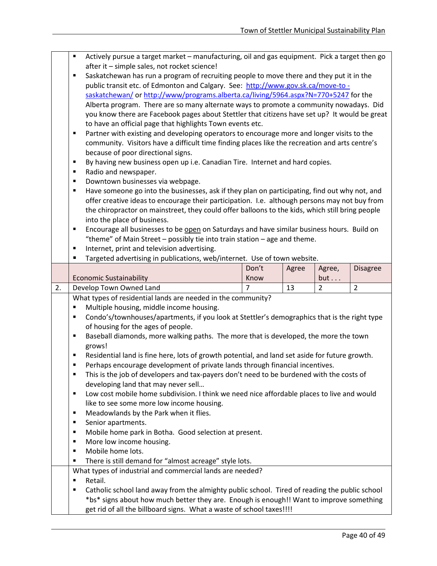Actively pursue a target market – manufacturing, oil and gas equipment. Pick a target then go after it – simple sales, not rocket science! Saskatchewan has run a program of recruiting people to move there and they put it in the public transit etc. of Edmonton and Calgary. See: [http://www.gov.sk.ca/move-to](http://www.gov.sk.ca/move-to%20-saskatchewan/)  [saskatchewan/](http://www.gov.sk.ca/move-to%20-saskatchewan/) o[r http://www/programs.alberta.ca/living/5964.aspx?N=770+5247](http://www/programs.alberta.ca/living/5964.aspx?N=770+5247) for the Alberta program. There are so many alternate ways to promote a community nowadays. Did you know there are Facebook pages about Stettler that citizens have set up? It would be great to have an official page that highlights Town events etc. **Partner with existing and developing operators to encourage more and longer visits to the** community. Visitors have a difficult time finding places like the recreation and arts centre's because of poor directional signs. By having new business open up i.e. Canadian Tire. Internet and hard copies. ■ Radio and newspaper. Downtown businesses via webpage. Have someone go into the businesses, ask if they plan on participating, find out why not, and offer creative ideas to encourage their participation. I.e. although persons may not buy from the chiropractor on mainstreet, they could offer balloons to the kids, which still bring people into the place of business. **Encourage all businesses to be open on Saturdays and have similar business hours. Build on** "theme" of Main Street – possibly tie into train station – age and theme. Internet, print and television advertising. **Targeted advertising in publications, web/internet. Use of town website.** Economic Sustainability Don't Know Agree  $|$  Agree, but . . . Disagree 2. Develop Town Owned Land  $\vert 7 \vert 13 \vert 2 \vert 2$ What types of residential lands are needed in the community? **Multiple housing, middle income housing.**  Condo's/townhouses/apartments, if you look at Stettler's demographics that is the right type of housing for the ages of people. **Baseball diamonds, more walking paths. The more that is developed, the more the town** grows! Residential land is fine here, lots of growth potential, and land set aside for future growth. Perhaps encourage development of private lands through financial incentives. This is the job of developers and tax-payers don't need to be burdened with the costs of developing land that may never sell… **U** Low cost mobile home subdivision. I think we need nice affordable places to live and would like to see some more low income housing. **Meadowlands by the Park when it flies. Senior apartments. Mobile home park in Botha. Good selection at present.**  More low income housing. Mobile home lots. There is still demand for "almost acreage" style lots. What types of industrial and commercial lands are needed? **Retail. Example:** Catholic school land away from the almighty public school. Tired of reading the public school \*bs\* signs about how much better they are. Enough is enough!! Want to improve something get rid of all the billboard signs. What a waste of school taxes!!!!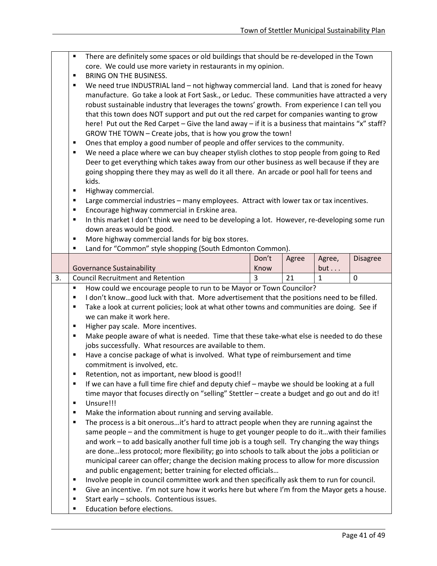- There are definitely some spaces or old buildings that should be re-developed in the Town core. We could use more variety in restaurants in my opinion.
- **BRING ON THE BUSINESS.**

 We need true INDUSTRIAL land – not highway commercial land. Land that is zoned for heavy manufacture. Go take a look at Fort Sask., or Leduc. These communities have attracted a very robust sustainable industry that leverages the towns' growth. From experience I can tell you that this town does NOT support and put out the red carpet for companies wanting to grow here! Put out the Red Carpet – Give the land away – if it is a business that maintains "x" staff? GROW THE TOWN – Create jobs, that is how you grow the town!

- **Deset 1** Ones that employ a good number of people and offer services to the community.
- We need a place where we can buy cheaper stylish clothes to stop people from going to Red Deer to get everything which takes away from our other business as well because if they are going shopping there they may as well do it all there. An arcade or pool hall for teens and kids.
- Highway commercial.
- Large commercial industries many employees. Attract with lower tax or tax incentives.
- Encourage highway commercial in Erskine area.
- In this market I don't think we need to be developing a lot. However, re-developing some run down areas would be good.
- **More highway commercial lands for big box stores.**
- Land for "Common" style shopping (South Edmonton Common).

|          |                                          | Don't | Agree    | Agree, | <b>Disagree</b> |
|----------|------------------------------------------|-------|----------|--------|-----------------|
|          | Governance Sustainability                | Know  |          | but    |                 |
| <u>.</u> | <b>Council Recruitment and Retention</b> |       | ۰ -<br>ᅀ |        |                 |

How could we encourage people to run to be Mayor or Town Councilor?

- I don't know…good luck with that. More advertisement that the positions need to be filled.
- Take a look at current policies; look at what other towns and communities are doing. See if we can make it work here.
- Higher pay scale. More incentives.
- Make people aware of what is needed. Time that these take-what else is needed to do these jobs successfully. What resources are available to them.
- Have a concise package of what is involved. What type of reimbursement and time commitment is involved, etc.
- Retention, not as important, new blood is good!!
- If we can have a full time fire chief and deputy chief maybe we should be looking at a full time mayor that focuses directly on "selling" Stettler – create a budget and go out and do it!
- **Unsure!!!**

- **Make the information about running and serving available.**
- The process is a bit onerous…it's hard to attract people when they are running against the same people – and the commitment is huge to get younger people to do it…with their families and work – to add basically another full time job is a tough sell. Try changing the way things are done…less protocol; more flexibility; go into schools to talk about the jobs a politician or municipal career can offer; change the decision making process to allow for more discussion and public engagement; better training for elected officials…
- **Involve people in council committee work and then specifically ask them to run for council.**
- Give an incentive. I'm not sure how it works here but where I'm from the Mayor gets a house.
- **Start early schools. Contentious issues.**
- **Education before elections.**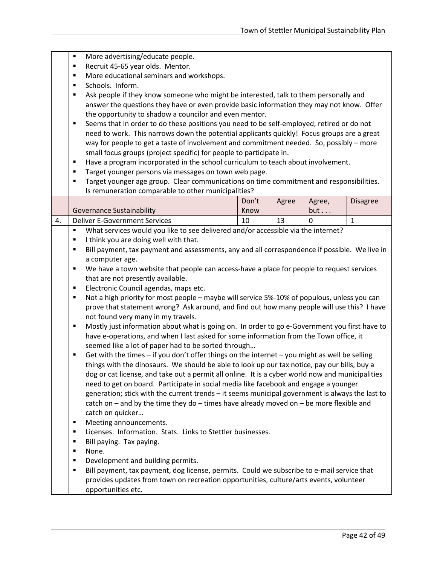|    | Ξ              | More advertising/educate people.                                                                 |       |       |              |                 |  |  |
|----|----------------|--------------------------------------------------------------------------------------------------|-------|-------|--------------|-----------------|--|--|
|    | ٠              | Recruit 45-65 year olds. Mentor.                                                                 |       |       |              |                 |  |  |
|    | ٠              | More educational seminars and workshops.                                                         |       |       |              |                 |  |  |
|    | ٠              | Schools. Inform.                                                                                 |       |       |              |                 |  |  |
|    | ٠              | Ask people if they know someone who might be interested, talk to them personally and             |       |       |              |                 |  |  |
|    |                | answer the questions they have or even provide basic information they may not know. Offer        |       |       |              |                 |  |  |
|    |                | the opportunity to shadow a councilor and even mentor.                                           |       |       |              |                 |  |  |
|    | ٠              | Seems that in order to do these positions you need to be self-employed; retired or do not        |       |       |              |                 |  |  |
|    |                | need to work. This narrows down the potential applicants quickly! Focus groups are a great       |       |       |              |                 |  |  |
|    |                | way for people to get a taste of involvement and commitment needed. So, possibly - more          |       |       |              |                 |  |  |
|    |                | small focus groups (project specific) for people to participate in.                              |       |       |              |                 |  |  |
|    | ٠              | Have a program incorporated in the school curriculum to teach about involvement.                 |       |       |              |                 |  |  |
|    | ٠              | Target younger persons via messages on town web page.                                            |       |       |              |                 |  |  |
|    | $\blacksquare$ | Target younger age group. Clear communications on time commitment and responsibilities.          |       |       |              |                 |  |  |
|    |                | Is remuneration comparable to other municipalities?                                              |       |       |              |                 |  |  |
|    |                |                                                                                                  | Don't | Agree | Agree,       | <b>Disagree</b> |  |  |
|    |                | <b>Governance Sustainability</b>                                                                 | Know  |       | but          |                 |  |  |
| 4. |                | <b>Deliver E-Government Services</b>                                                             | 10    | 13    | $\mathbf{0}$ | $\mathbf{1}$    |  |  |
|    | ٠              | What services would you like to see delivered and/or accessible via the internet?                |       |       |              |                 |  |  |
|    | ٠              | I think you are doing well with that.                                                            |       |       |              |                 |  |  |
|    | ٠              | Bill payment, tax payment and assessments, any and all correspondence if possible. We live in    |       |       |              |                 |  |  |
|    |                | a computer age.                                                                                  |       |       |              |                 |  |  |
|    | ٠              | We have a town website that people can access-have a place for people to request services        |       |       |              |                 |  |  |
|    |                | that are not presently available.                                                                |       |       |              |                 |  |  |
|    | ٠              | Electronic Council agendas, maps etc.                                                            |       |       |              |                 |  |  |
|    | Ξ              | Not a high priority for most people - maybe will service 5%-10% of populous, unless you can      |       |       |              |                 |  |  |
|    |                | prove that statement wrong? Ask around, and find out how many people will use this? I have       |       |       |              |                 |  |  |
|    |                | not found very many in my travels.                                                               |       |       |              |                 |  |  |
|    | ٠              | Mostly just information about what is going on. In order to go e-Government you first have to    |       |       |              |                 |  |  |
|    |                | have e-operations, and when I last asked for some information from the Town office, it           |       |       |              |                 |  |  |
|    |                | seemed like a lot of paper had to be sorted through                                              |       |       |              |                 |  |  |
|    | ٠              | Get with the times - if you don't offer things on the internet - you might as well be selling    |       |       |              |                 |  |  |
|    |                | things with the dinosaurs. We should be able to look up our tax notice, pay our bills, buy a     |       |       |              |                 |  |  |
|    |                | dog or cat license, and take out a permit all online. It is a cyber world now and municipalities |       |       |              |                 |  |  |
|    |                | need to get on board. Participate in social media like facebook and engage a younger             |       |       |              |                 |  |  |
|    |                | generation; stick with the current trends - it seems municipal government is always the last to  |       |       |              |                 |  |  |
|    |                | catch on $-$ and by the time they do $-$ times have already moved on $-$ be more flexible and    |       |       |              |                 |  |  |
|    |                | catch on quicker                                                                                 |       |       |              |                 |  |  |
|    | ٠              | Meeting announcements.                                                                           |       |       |              |                 |  |  |
|    | ٠              | Licenses. Information. Stats. Links to Stettler businesses.                                      |       |       |              |                 |  |  |
|    | п              | Bill paying. Tax paying.                                                                         |       |       |              |                 |  |  |
|    | ٠              | None.                                                                                            |       |       |              |                 |  |  |
|    | $\blacksquare$ | Development and building permits.                                                                |       |       |              |                 |  |  |
|    | ٠              | Bill payment, tax payment, dog license, permits. Could we subscribe to e-mail service that       |       |       |              |                 |  |  |
|    |                | provides updates from town on recreation opportunities, culture/arts events, volunteer           |       |       |              |                 |  |  |
|    |                | opportunities etc.                                                                               |       |       |              |                 |  |  |
|    |                |                                                                                                  |       |       |              |                 |  |  |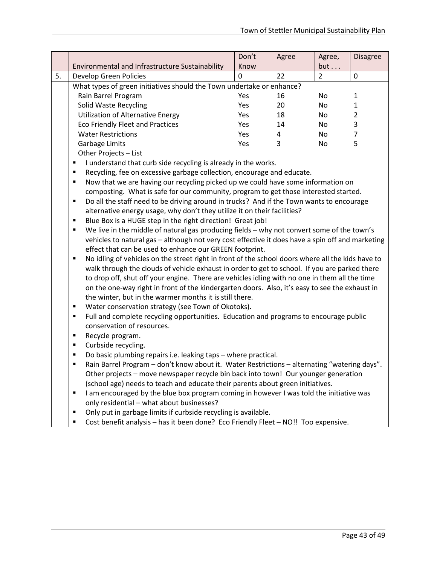|    |                                                                       | Don't      | Agree | Agree,    | <b>Disagree</b> |
|----|-----------------------------------------------------------------------|------------|-------|-----------|-----------------|
|    | Environmental and Infrastructure Sustainability                       | Know       |       | but       |                 |
| 5. | Develop Green Policies                                                |            | 22    | 2         | 0               |
|    | What types of green initiatives should the Town undertake or enhance? |            |       |           |                 |
|    | Rain Barrel Program                                                   | Yes        | 16    | No        |                 |
|    | Solid Waste Recycling                                                 | Yes        | 20    | No        |                 |
|    | <b>Utilization of Alternative Energy</b>                              | <b>Yes</b> | 18    | No        | 2               |
|    | <b>Eco Friendly Fleet and Practices</b>                               | Yes        | 14    | <b>No</b> | 3               |
|    | <b>Water Restrictions</b>                                             | Yes        | 4     | No        |                 |
|    | Garbage Limits                                                        | Yes        | 3     | No        | 5               |
|    | .                                                                     |            |       |           |                 |

Other Projects – List

I understand that curb side recycling is already in the works.

**Recycling, fee on excessive garbage collection, encourage and educate.** 

 Now that we are having our recycling picked up we could have some information on composting. What is safe for our community, program to get those interested started.

 Do all the staff need to be driving around in trucks? And if the Town wants to encourage alternative energy usage, why don't they utilize it on their facilities?

- Blue Box is a HUGE step in the right direction! Great job!
- We live in the middle of natural gas producing fields why not convert some of the town's vehicles to natural gas – although not very cost effective it does have a spin off and marketing effect that can be used to enhance our GREEN footprint.

 No idling of vehicles on the street right in front of the school doors where all the kids have to walk through the clouds of vehicle exhaust in order to get to school. If you are parked there to drop off, shut off your engine. There are vehicles idling with no one in them all the time on the one-way right in front of the kindergarten doors. Also, it's easy to see the exhaust in the winter, but in the warmer months it is still there.

- **Water conservation strategy (see Town of Okotoks).**
- Full and complete recycling opportunities. Education and programs to encourage public conservation of resources.
- **Recycle program.**

- **Curbside recycling.**
- Do basic plumbing repairs i.e. leaking taps where practical.
- Rain Barrel Program don't know about it. Water Restrictions alternating "watering days". Other projects – move newspaper recycle bin back into town! Our younger generation (school age) needs to teach and educate their parents about green initiatives.
- I am encouraged by the blue box program coming in however I was told the initiative was only residential – what about businesses?
- Only put in garbage limits if curbside recycling is available.
- Cost benefit analysis has it been done? Eco Friendly Fleet NO!! Too expensive.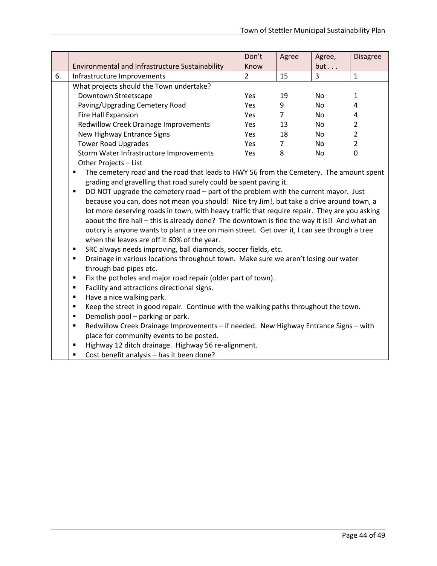|    |                                                 | Don't      | Agree | Agree, | <b>Disagree</b> |
|----|-------------------------------------------------|------------|-------|--------|-----------------|
|    | Environmental and Infrastructure Sustainability | Know       |       | but    |                 |
| 6. | Infrastructure Improvements                     | 2          | 15    | 3      | 1               |
|    | What projects should the Town undertake?        |            |       |        |                 |
|    | Downtown Streetscape                            | Yes.       | 19    | No.    | 1               |
|    | Paving/Upgrading Cemetery Road                  | <b>Yes</b> | 9     | No.    | 4               |
|    | Fire Hall Expansion                             | <b>Yes</b> |       | No.    | 4               |
|    | <b>Redwillow Creek Drainage Improvements</b>    | <b>Yes</b> | 13    | No.    | 2               |
|    | New Highway Entrance Signs                      | <b>Yes</b> | 18    | No.    | 2               |
|    | <b>Tower Road Upgrades</b>                      | <b>Yes</b> | 7     | No.    | 2               |
|    | Storm Water Infrastructure Improvements         | <b>Yes</b> | 8     | No.    | 0               |
|    | Other Projects - List                           |            |       |        |                 |

 The cemetery road and the road that leads to HWY 56 from the Cemetery. The amount spent grading and gravelling that road surely could be spent paving it.

DO NOT upgrade the cemetery road – part of the problem with the current mayor. Just because you can, does not mean you should! Nice try Jim!, but take a drive around town, a lot more deserving roads in town, with heavy traffic that require repair. They are you asking about the fire hall – this is already done? The downtown is fine the way it is!! And what an outcry is anyone wants to plant a tree on main street. Get over it, I can see through a tree when the leaves are off it 60% of the year.

- SRC always needs improving, ball diamonds, soccer fields, etc.
- Drainage in various locations throughout town. Make sure we aren't losing our water through bad pipes etc.
- **Fix the potholes and major road repair (older part of town).**
- Facility and attractions directional signs.
- Have a nice walking park.

- **EXECT** Keep the street in good repair. Continue with the walking paths throughout the town.
- **Demolish pool parking or park.**
- Redwillow Creek Drainage Improvements if needed. New Highway Entrance Signs with place for community events to be posted.
- Highway 12 ditch drainage. Highway 56 re-alignment.
- Cost benefit analysis has it been done?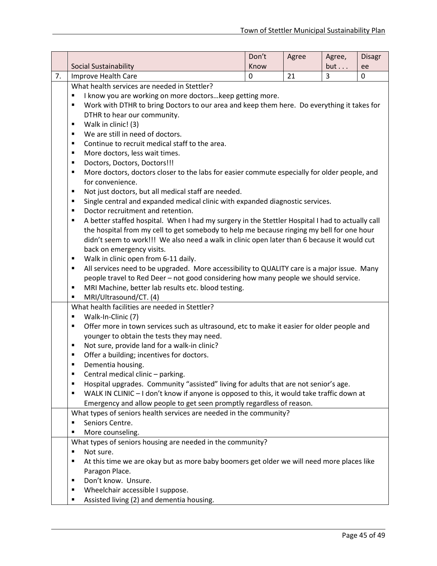|    |                                                                                                                                                                         | Don't            | Agree | Agree, | <b>Disagr</b> |
|----|-------------------------------------------------------------------------------------------------------------------------------------------------------------------------|------------------|-------|--------|---------------|
|    | Social Sustainability                                                                                                                                                   | Know             |       | but    | ee            |
| 7. | Improve Health Care                                                                                                                                                     | $\boldsymbol{0}$ | 21    | 3      | 0             |
|    | What health services are needed in Stettler?                                                                                                                            |                  |       |        |               |
|    | I know you are working on more doctors keep getting more.<br>٠                                                                                                          |                  |       |        |               |
|    | Work with DTHR to bring Doctors to our area and keep them here. Do everything it takes for<br>٠                                                                         |                  |       |        |               |
|    | DTHR to hear our community.<br>٠                                                                                                                                        |                  |       |        |               |
|    | Walk in clinic! (3)<br>We are still in need of doctors.                                                                                                                 |                  |       |        |               |
|    | ٠                                                                                                                                                                       |                  |       |        |               |
|    | Continue to recruit medical staff to the area.<br>٠<br>More doctors, less wait times.<br>٠                                                                              |                  |       |        |               |
|    | Doctors, Doctors, Doctors!!!<br>٠                                                                                                                                       |                  |       |        |               |
|    | More doctors, doctors closer to the labs for easier commute especially for older people, and<br>٠                                                                       |                  |       |        |               |
|    | for convenience.                                                                                                                                                        |                  |       |        |               |
|    | Not just doctors, but all medical staff are needed.<br>٠                                                                                                                |                  |       |        |               |
|    | Single central and expanded medical clinic with expanded diagnostic services.<br>٠                                                                                      |                  |       |        |               |
|    | Doctor recruitment and retention.<br>٠                                                                                                                                  |                  |       |        |               |
|    | A better staffed hospital. When I had my surgery in the Stettler Hospital I had to actually call<br>٠                                                                   |                  |       |        |               |
|    | the hospital from my cell to get somebody to help me because ringing my bell for one hour                                                                               |                  |       |        |               |
|    | didn't seem to work!!! We also need a walk in clinic open later than 6 because it would cut                                                                             |                  |       |        |               |
|    | back on emergency visits.                                                                                                                                               |                  |       |        |               |
|    | Walk in clinic open from 6-11 daily.<br>٠                                                                                                                               |                  |       |        |               |
|    | All services need to be upgraded. More accessibility to QUALITY care is a major issue. Many<br>٠                                                                        |                  |       |        |               |
|    | people travel to Red Deer - not good considering how many people we should service.                                                                                     |                  |       |        |               |
|    | MRI Machine, better lab results etc. blood testing.<br>٠                                                                                                                |                  |       |        |               |
|    | MRI/Ultrasound/CT. (4)<br>٠                                                                                                                                             |                  |       |        |               |
|    | What health facilities are needed in Stettler?                                                                                                                          |                  |       |        |               |
|    | Walk-In-Clinic (7)<br>٠                                                                                                                                                 |                  |       |        |               |
|    | Offer more in town services such as ultrasound, etc to make it easier for older people and<br>٠                                                                         |                  |       |        |               |
|    | younger to obtain the tests they may need.                                                                                                                              |                  |       |        |               |
|    | Not sure, provide land for a walk-in clinic?<br>٠                                                                                                                       |                  |       |        |               |
|    | Offer a building; incentives for doctors.<br>Е                                                                                                                          |                  |       |        |               |
|    | Dementia housing.<br>٠                                                                                                                                                  |                  |       |        |               |
|    | Central medical clinic - parking.<br>п                                                                                                                                  |                  |       |        |               |
|    | Hospital upgrades. Community "assisted" living for adults that are not senior's age.<br>٠                                                                               |                  |       |        |               |
|    | WALK IN CLINIC - I don't know if anyone is opposed to this, it would take traffic down at<br>п<br>Emergency and allow people to get seen promptly regardless of reason. |                  |       |        |               |
|    | What types of seniors health services are needed in the community?                                                                                                      |                  |       |        |               |
|    | Seniors Centre.<br>п                                                                                                                                                    |                  |       |        |               |
|    | More counseling.                                                                                                                                                        |                  |       |        |               |
|    | What types of seniors housing are needed in the community?                                                                                                              |                  |       |        |               |
|    | Not sure.<br>٠                                                                                                                                                          |                  |       |        |               |
|    | At this time we are okay but as more baby boomers get older we will need more places like<br>Е                                                                          |                  |       |        |               |
|    | Paragon Place.                                                                                                                                                          |                  |       |        |               |
|    | Don't know. Unsure.<br>٠                                                                                                                                                |                  |       |        |               |
|    | Wheelchair accessible I suppose.<br>٠                                                                                                                                   |                  |       |        |               |
|    | Assisted living (2) and dementia housing.<br>п                                                                                                                          |                  |       |        |               |
|    |                                                                                                                                                                         |                  |       |        |               |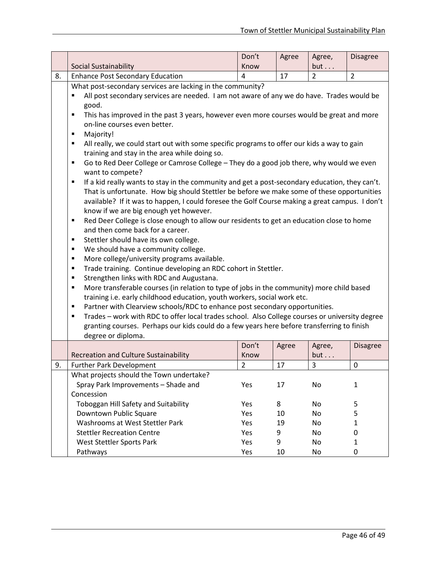|    |                                                                                                                                                  | Don't          | Agree | Agree,         | <b>Disagree</b> |  |  |
|----|--------------------------------------------------------------------------------------------------------------------------------------------------|----------------|-------|----------------|-----------------|--|--|
|    | Social Sustainability                                                                                                                            | Know           |       | but            |                 |  |  |
| 8. | <b>Enhance Post Secondary Education</b>                                                                                                          | 4              | 17    | $\overline{2}$ | $\overline{2}$  |  |  |
|    | What post-secondary services are lacking in the community?                                                                                       |                |       |                |                 |  |  |
|    | All post secondary services are needed. I am not aware of any we do have. Trades would be                                                        |                |       |                |                 |  |  |
|    | good.                                                                                                                                            |                |       |                |                 |  |  |
|    | This has improved in the past 3 years, however even more courses would be great and more<br>٠                                                    |                |       |                |                 |  |  |
|    | on-line courses even better.                                                                                                                     |                |       |                |                 |  |  |
|    | ٠<br>Majority!                                                                                                                                   |                |       |                |                 |  |  |
|    | All really, we could start out with some specific programs to offer our kids a way to gain<br>٠<br>training and stay in the area while doing so. |                |       |                |                 |  |  |
|    | Go to Red Deer College or Camrose College - They do a good job there, why would we even<br>٠                                                     |                |       |                |                 |  |  |
|    | want to compete?                                                                                                                                 |                |       |                |                 |  |  |
|    | If a kid really wants to stay in the community and get a post-secondary education, they can't.<br>٠                                              |                |       |                |                 |  |  |
|    | That is unfortunate. How big should Stettler be before we make some of these opportunities                                                       |                |       |                |                 |  |  |
|    | available? If it was to happen, I could foresee the Golf Course making a great campus. I don't                                                   |                |       |                |                 |  |  |
|    | know if we are big enough yet however.                                                                                                           |                |       |                |                 |  |  |
|    | Red Deer College is close enough to allow our residents to get an education close to home<br>٠                                                   |                |       |                |                 |  |  |
|    | and then come back for a career.                                                                                                                 |                |       |                |                 |  |  |
|    | Stettler should have its own college.<br>٠                                                                                                       |                |       |                |                 |  |  |
|    | We should have a community college.<br>٠                                                                                                         |                |       |                |                 |  |  |
|    | More college/university programs available.<br>٠                                                                                                 |                |       |                |                 |  |  |
|    | Trade training. Continue developing an RDC cohort in Stettler.<br>٠                                                                              |                |       |                |                 |  |  |
|    | Strengthen links with RDC and Augustana.<br>٠                                                                                                    |                |       |                |                 |  |  |
|    | More transferable courses (in relation to type of jobs in the community) more child based<br>٠                                                   |                |       |                |                 |  |  |
|    | training i.e. early childhood education, youth workers, social work etc.                                                                         |                |       |                |                 |  |  |
|    | Partner with Clearview schools/RDC to enhance post secondary opportunities.<br>٠                                                                 |                |       |                |                 |  |  |
|    | Trades - work with RDC to offer local trades school. Also College courses or university degree<br>٠                                              |                |       |                |                 |  |  |
|    | granting courses. Perhaps our kids could do a few years here before transferring to finish                                                       |                |       |                |                 |  |  |
|    | degree or diploma.                                                                                                                               |                |       |                |                 |  |  |
|    |                                                                                                                                                  | Don't          | Agree | Agree,         | <b>Disagree</b> |  |  |
|    | <b>Recreation and Culture Sustainability</b>                                                                                                     | Know           |       | but            |                 |  |  |
| 9. | <b>Further Park Development</b>                                                                                                                  | $\overline{2}$ | 17    | 3              | 0               |  |  |
|    | What projects should the Town undertake?                                                                                                         |                |       |                |                 |  |  |
|    | Spray Park Improvements - Shade and                                                                                                              | Yes            | 17    | No             | $\mathbf{1}$    |  |  |
|    | Concession                                                                                                                                       |                |       |                |                 |  |  |
|    | Toboggan Hill Safety and Suitability                                                                                                             | Yes            | 8     | No             | 5               |  |  |
|    | Downtown Public Square                                                                                                                           | Yes            | 10    | No             | 5               |  |  |
|    | Washrooms at West Stettler Park                                                                                                                  | Yes            | 19    | No             | $\mathbf{1}$    |  |  |
|    | <b>Stettler Recreation Centre</b>                                                                                                                | Yes            | 9     | No             | 0               |  |  |
|    | West Stettler Sports Park                                                                                                                        | Yes            | 9     | No             | $\mathbf{1}$    |  |  |
|    | Pathways                                                                                                                                         | Yes            | 10    | No             | 0               |  |  |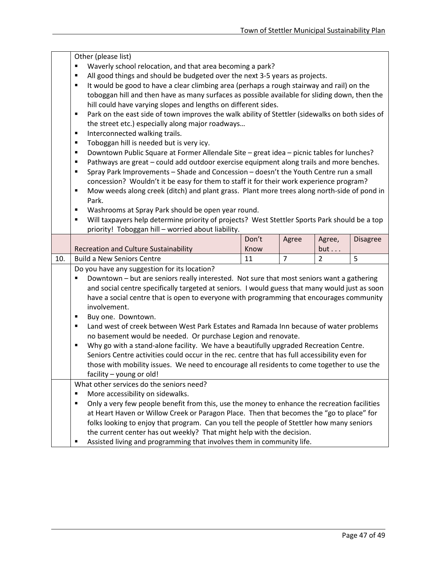|     | Other (please list)<br>Waverly school relocation, and that area becoming a park?<br>٠<br>All good things and should be budgeted over the next 3-5 years as projects.<br>٠<br>It would be good to have a clear climbing area (perhaps a rough stairway and rail) on the<br>٠<br>toboggan hill and then have as many surfaces as possible available for sliding down, then the<br>hill could have varying slopes and lengths on different sides.<br>Park on the east side of town improves the walk ability of Stettler (sidewalks on both sides of<br>٠<br>the street etc.) especially along major roadways                                                                                                                                                                                                                                          |               |                |                |                 |  |
|-----|-----------------------------------------------------------------------------------------------------------------------------------------------------------------------------------------------------------------------------------------------------------------------------------------------------------------------------------------------------------------------------------------------------------------------------------------------------------------------------------------------------------------------------------------------------------------------------------------------------------------------------------------------------------------------------------------------------------------------------------------------------------------------------------------------------------------------------------------------------|---------------|----------------|----------------|-----------------|--|
|     | Interconnected walking trails.<br>Ξ<br>Toboggan hill is needed but is very icy.<br>٠<br>Downtown Public Square at Former Allendale Site - great idea - picnic tables for lunches?<br>٠<br>Pathways are great - could add outdoor exercise equipment along trails and more benches.<br>٠<br>Spray Park Improvements - Shade and Concession - doesn't the Youth Centre run a small<br>٠<br>concession? Wouldn't it be easy for them to staff it for their work experience program?<br>Mow weeds along creek (ditch) and plant grass. Plant more trees along north-side of pond in<br>٠<br>Park.<br>Washrooms at Spray Park should be open year round.<br>$\blacksquare$                                                                                                                                                                               |               |                |                |                 |  |
|     | Will taxpayers help determine priority of projects? West Stettler Sports Park should be a top<br>٠<br>priority! Toboggan hill - worried about liability.                                                                                                                                                                                                                                                                                                                                                                                                                                                                                                                                                                                                                                                                                            |               |                |                |                 |  |
|     | <b>Recreation and Culture Sustainability</b>                                                                                                                                                                                                                                                                                                                                                                                                                                                                                                                                                                                                                                                                                                                                                                                                        | Don't<br>Know | Agree          | Agree,<br>but  | <b>Disagree</b> |  |
| 10. | <b>Build a New Seniors Centre</b>                                                                                                                                                                                                                                                                                                                                                                                                                                                                                                                                                                                                                                                                                                                                                                                                                   | 11            | $\overline{7}$ | $\overline{2}$ | 5               |  |
|     | Do you have any suggestion for its location?<br>Downtown - but are seniors really interested. Not sure that most seniors want a gathering<br>٠<br>and social centre specifically targeted at seniors. I would guess that many would just as soon<br>have a social centre that is open to everyone with programming that encourages community<br>involvement.<br>Buy one. Downtown.<br>٠<br>Land west of creek between West Park Estates and Ramada Inn because of water problems<br>٠<br>no basement would be needed. Or purchase Legion and renovate.<br>Why go with a stand-alone facility. We have a beautifully upgraded Recreation Centre.<br>٠<br>Seniors Centre activities could occur in the rec. centre that has full accessibility even for<br>those with mobility issues. We need to encourage all residents to come together to use the |               |                |                |                 |  |
|     | facility - young or old!<br>What other services do the seniors need?<br>More accessibility on sidewalks.<br>п<br>Only a very few people benefit from this, use the money to enhance the recreation facilities<br>٠<br>at Heart Haven or Willow Creek or Paragon Place. Then that becomes the "go to place" for<br>folks looking to enjoy that program. Can you tell the people of Stettler how many seniors<br>the current center has out weekly? That might help with the decision.<br>Assisted living and programming that involves them in community life.<br>п                                                                                                                                                                                                                                                                                  |               |                |                |                 |  |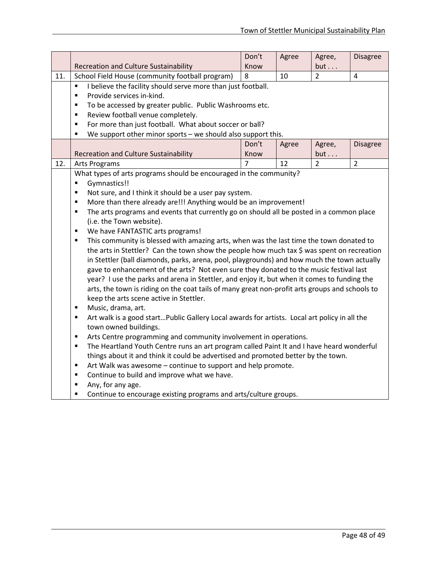|     |                                                                                                                                                                                       | Don't | Agree | Agree,         | <b>Disagree</b> |  |  |
|-----|---------------------------------------------------------------------------------------------------------------------------------------------------------------------------------------|-------|-------|----------------|-----------------|--|--|
|     | <b>Recreation and Culture Sustainability</b>                                                                                                                                          | Know  |       | but            |                 |  |  |
| 11. | School Field House (community football program)                                                                                                                                       | 8     | 10    | $\overline{2}$ | $\overline{4}$  |  |  |
|     | I believe the facility should serve more than just football.<br>$\blacksquare$                                                                                                        |       |       |                |                 |  |  |
|     | Provide services in-kind.<br>$\blacksquare$                                                                                                                                           |       |       |                |                 |  |  |
|     | To be accessed by greater public. Public Washrooms etc.<br>$\blacksquare$                                                                                                             |       |       |                |                 |  |  |
|     | Review football venue completely.<br>$\blacksquare$                                                                                                                                   |       |       |                |                 |  |  |
|     | For more than just football. What about soccer or ball?<br>$\blacksquare$                                                                                                             |       |       |                |                 |  |  |
|     | We support other minor sports - we should also support this.<br>$\blacksquare$                                                                                                        |       |       |                |                 |  |  |
|     |                                                                                                                                                                                       | Don't | Agree | Agree,         | <b>Disagree</b> |  |  |
|     | <b>Recreation and Culture Sustainability</b>                                                                                                                                          | Know  |       | but            |                 |  |  |
| 12. | <b>Arts Programs</b>                                                                                                                                                                  | 7     | 12    | $\overline{2}$ | $\overline{2}$  |  |  |
|     | What types of arts programs should be encouraged in the community?                                                                                                                    |       |       |                |                 |  |  |
|     | Gymnastics!!<br>Ξ                                                                                                                                                                     |       |       |                |                 |  |  |
|     | Not sure, and I think it should be a user pay system.<br>$\blacksquare$                                                                                                               |       |       |                |                 |  |  |
|     | More than there already are!!! Anything would be an improvement!<br>$\blacksquare$                                                                                                    |       |       |                |                 |  |  |
|     | The arts programs and events that currently go on should all be posted in a common place<br>$\blacksquare$                                                                            |       |       |                |                 |  |  |
|     | (i.e. the Town website).<br>$\blacksquare$                                                                                                                                            |       |       |                |                 |  |  |
|     | We have FANTASTIC arts programs!<br>٠                                                                                                                                                 |       |       |                |                 |  |  |
|     | This community is blessed with amazing arts, when was the last time the town donated to<br>the arts in Stettler? Can the town show the people how much tax \$ was spent on recreation |       |       |                |                 |  |  |
|     | in Stettler (ball diamonds, parks, arena, pool, playgrounds) and how much the town actually                                                                                           |       |       |                |                 |  |  |
|     | gave to enhancement of the arts? Not even sure they donated to the music festival last                                                                                                |       |       |                |                 |  |  |
|     | year? I use the parks and arena in Stettler, and enjoy it, but when it comes to funding the                                                                                           |       |       |                |                 |  |  |
|     | arts, the town is riding on the coat tails of many great non-profit arts groups and schools to                                                                                        |       |       |                |                 |  |  |
|     | keep the arts scene active in Stettler.                                                                                                                                               |       |       |                |                 |  |  |
|     | Music, drama, art.<br>$\blacksquare$                                                                                                                                                  |       |       |                |                 |  |  |
|     | Art walk is a good startPublic Gallery Local awards for artists. Local art policy in all the<br>$\blacksquare$                                                                        |       |       |                |                 |  |  |
|     | town owned buildings.                                                                                                                                                                 |       |       |                |                 |  |  |
|     | Arts Centre programming and community involvement in operations.<br>$\blacksquare$                                                                                                    |       |       |                |                 |  |  |
|     | The Heartland Youth Centre runs an art program called Paint It and I have heard wonderful<br>$\blacksquare$                                                                           |       |       |                |                 |  |  |
|     | things about it and think it could be advertised and promoted better by the town.                                                                                                     |       |       |                |                 |  |  |
|     | Art Walk was awesome - continue to support and help promote.<br>$\blacksquare$                                                                                                        |       |       |                |                 |  |  |
|     | Continue to build and improve what we have.<br>$\blacksquare$                                                                                                                         |       |       |                |                 |  |  |
|     | Any, for any age.<br>$\blacksquare$                                                                                                                                                   |       |       |                |                 |  |  |
|     | Continue to encourage existing programs and arts/culture groups.<br>Ξ                                                                                                                 |       |       |                |                 |  |  |